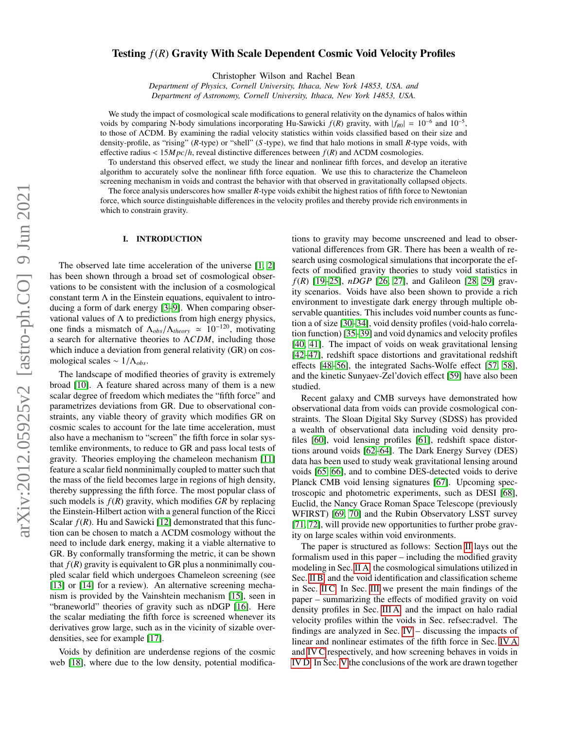# arXiv:2012.05925v2 [astro-ph.CO] 9 Jun 2021 arXiv:2012.05925v2 [astro-ph.CO] 9 Jun 2021

# Testing *f*(*R*) Gravity With Scale Dependent Cosmic Void Velocity Profiles

Christopher Wilson and Rachel Bean

*Department of Physics, Cornell University, Ithaca, New York 14853, USA. and Department of Astronomy, Cornell University, Ithaca, New York 14853, USA.*

We study the impact of cosmological scale modifications to general relativity on the dynamics of halos within voids by comparing N-body simulations incorporating Hu-Sawicki  $f(R)$  gravity, with  $|f_{R0}| = 10^{-6}$  and  $10^{-5}$ , to those of ΛCDM. By examining the radial velocity statistics within voids classified based on their size and density-profile, as "rising" (*R*-type) or "shell" (*S* -type), we find that halo motions in small *R*-type voids, with <sup>e</sup>ffective radius < <sup>15</sup>*M pc*/*h*, reveal distinctive differences between *<sup>f</sup>*(*R*) and <sup>Λ</sup>CDM cosmologies.

To understand this observed effect, we study the linear and nonlinear fifth forces, and develop an iterative algorithm to accurately solve the nonlinear fifth force equation. We use this to characterize the Chameleon screening mechanism in voids and contrast the behavior with that observed in gravitationally collapsed objects.

The force analysis underscores how smaller *R*-type voids exhibit the highest ratios of fifth force to Newtonian force, which source distinguishable differences in the velocity profiles and thereby provide rich environments in which to constrain gravity.

# I. INTRODUCTION

The observed late time acceleration of the universe [\[1,](#page-14-0) [2\]](#page-14-1) has been shown through a broad set of cosmological observations to be consistent with the inclusion of a cosmological constant term  $\Lambda$  in the Einstein equations, equivalent to introducing a form of dark energy [\[3–](#page-14-2)[9\]](#page-14-3). When comparing observational values of  $\Lambda$  to predictions from high energy physics, one finds a mismatch of  $\Lambda_{obs}/\Lambda_{theory} \simeq 10^{-120}$ , motivating a search for alternative theories to Λ*CDM*, including those which induce a deviation from general relativity (GR) on cosmological scales ~  $1/\Lambda_{obs}$ .

The landscape of modified theories of gravity is extremely broad [\[10\]](#page-14-4). A feature shared across many of them is a new scalar degree of freedom which mediates the "fifth force" and parametrizes deviations from GR. Due to observational constraints, any viable theory of gravity which modifies GR on cosmic scales to account for the late time acceleration, must also have a mechanism to "screen" the fifth force in solar systemlike environments, to reduce to GR and pass local tests of gravity. Theories employing the chameleon mechanism [\[11\]](#page-14-5) feature a scalar field nonminimally coupled to matter such that the mass of the field becomes large in regions of high density, thereby suppressing the fifth force. The most popular class of such models is  $f(R)$  gravity, which modifies  $GR$  by replacing the Einstein-Hilbert action with a general function of the Ricci Scalar  $f(R)$ . Hu and Sawicki [\[12\]](#page-14-6) demonstrated that this function can be chosen to match a ΛCDM cosmology without the need to include dark energy, making it a viable alternative to GR. By conformally transforming the metric, it can be shown that  $f(R)$  gravity is equivalent to GR plus a nonminimally coupled scalar field which undergoes Chameleon screening (see [\[13\]](#page-14-7) or [\[14\]](#page-14-8) for a review). An alternative screening mechanism is provided by the Vainshtein mechanism [\[15\]](#page-14-9), seen in "braneworld" theories of gravity such as nDGP [\[16\]](#page-14-10). Here the scalar mediating the fifth force is screened whenever its derivatives grow large, such as in the vicinity of sizable overdensities, see for example [\[17\]](#page-14-11).

Voids by definition are underdense regions of the cosmic web [\[18\]](#page-14-12), where due to the low density, potential modifications to gravity may become unscreened and lead to observational differences from GR. There has been a wealth of research using cosmological simulations that incorporate the effects of modified gravity theories to study void statistics in *f*(*R*) [\[19–](#page-14-13)[25\]](#page-14-14), *nDGP* [\[26,](#page-14-15) [27\]](#page-14-16), and Galileon [\[28,](#page-14-17) [29\]](#page-14-18) gravity scenarios. Voids have also been shown to provide a rich environment to investigate dark energy through multiple observable quantities. This includes void number counts as function a of size [\[30](#page-14-19)[–34\]](#page-14-20), void density profiles (void-halo correlation function) [\[35](#page-14-21)[–39\]](#page-14-22) and void dynamics and velocity profiles [\[40,](#page-14-23) [41\]](#page-14-24). The impact of voids on weak gravitational lensing [\[42](#page-14-25)[–47\]](#page-14-26), redshift space distortions and gravitational redshift effects [\[48](#page-14-27)[–56\]](#page-14-28), the integrated Sachs-Wolfe effect [\[57,](#page-14-29) [58\]](#page-15-0), and the kinetic Sunyaev-Zel'dovich effect [\[59\]](#page-15-1) have also been studied.

Recent galaxy and CMB surveys have demonstrated how observational data from voids can provide cosmological constraints. The Sloan Digital Sky Survey (SDSS) has provided a wealth of observational data including void density profiles [\[60\]](#page-15-2), void lensing profiles [\[61\]](#page-15-3), redshift space distortions around voids [\[62–](#page-15-4)[64\]](#page-15-5). The Dark Energy Survey (DES) data has been used to study weak gravitational lensing around voids [\[65,](#page-15-6) [66\]](#page-15-7), and to combine DES-detected voids to derive Planck CMB void lensing signatures [\[67\]](#page-15-8). Upcoming spectroscopic and photometric experiments, such as DESI [\[68\]](#page-15-9), Euclid, the Nancy Grace Roman Space Telescope (previously WFIRST) [\[69,](#page-15-10) [70\]](#page-15-11) and the Rubin Observatory LSST survey [\[71,](#page-15-12) [72\]](#page-15-13), will provide new opportunities to further probe gravity on large scales within void environments.

The paper is structured as follows: Section [II](#page-1-0) lays out the formalism used in this paper – including the modified gravity modeling in Sec. [II A,](#page-1-1) the cosmological simulations utilized in Sec. [II B,](#page-2-0) and the void identification and classification scheme in Sec. [II C.](#page-2-1) In Sec. [III](#page-3-0) we present the main findings of the paper – summarizing the effects of modified gravity on void density profiles in Sec. [III A,](#page-3-1) and the impact on halo radial velocity profiles within the voids in Sec. refsec:radvel. The findings are analyzed in Sec. [IV](#page-5-0) – discussing the impacts of linear and nonlinear estimates of the fifth force in Sec. [IV A](#page-5-1) and [IV C](#page-8-0) respectively, and how screening behaves in voids in [IV D.](#page-10-0) In Sec. [V](#page-12-0) the conclusions of the work are drawn together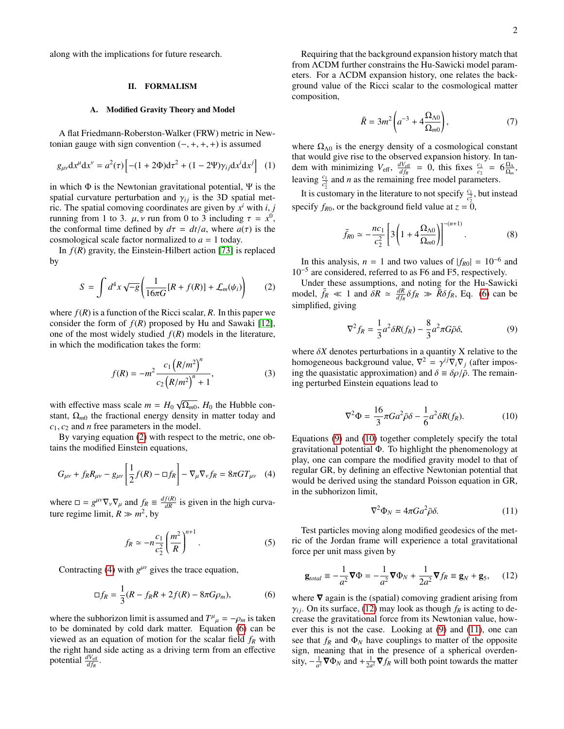along with the implications for future research.

### <span id="page-1-0"></span>II. FORMALISM

### <span id="page-1-1"></span>A. Modified Gravity Theory and Model

A flat Friedmann-Roberston-Walker (FRW) metric in Newtonian gauge with sign convention  $(-, +, +, +)$  is assumed

$$
g_{\mu\nu}dx^{\mu}dx^{\nu} = a^2(\tau) \left[ -(1 + 2\Phi) d\tau^2 + (1 - 2\Psi) \gamma_{ij} dx^i dx^j \right] (1)
$$

in which  $\Phi$  is the Newtonian gravitational potential,  $\Psi$  is the spatial curvature perturbation and  $\gamma_{ij}$  is the 3D spatial metric. The spatial comoving coordinates are given by  $x^i$  with *i*, *j* running from 1 to 3, *u y* run from 0 to 3 including  $\tau = y^0$ running from 1 to 3.  $\mu$ , *v* run from 0 to 3 including  $\tau = x^0$ , the conformal time defined by  $d\tau = dt/a$ , where  $a(\tau)$  is the the conformal time defined by  $d\tau = dt/a$ , where  $a(\tau)$  is the cosmological scale factor normalized to *a* = 1 today.

In *f*(*R*) gravity, the Einstein-Hilbert action [\[73\]](#page-15-14) is replaced by

<span id="page-1-2"></span>
$$
S = \int d^4x \sqrt{-g} \left( \frac{1}{16\pi G} [R + f(R)] + \mathcal{L}_m(\psi_i) \right) \tag{2}
$$

where  $f(R)$  is a function of the Ricci scalar, R. In this paper we consider the form of  $f(R)$  proposed by Hu and Sawaki [\[12\]](#page-14-6), one of the most widely studied  $f(R)$  models in the literature, in which the modification takes the form:

$$
f(R) = -m^2 \frac{c_1 (R/m^2)^n}{c_2 (R/m^2)^n + 1},
$$
\n(3)

with effective mass scale  $m = H_0$ √  $\Omega_{m0}$ ,  $H_0$  the Hubble constant,  $\Omega_{m0}$  the fractional energy density in matter today and  $c_1, c_2$  and *n* free parameters in the model.

By varying equation [\(2\)](#page-1-2) with respect to the metric, one obtains the modified Einstein equations,

<span id="page-1-3"></span>
$$
G_{\mu\nu} + f_R R_{\mu\nu} - g_{\mu\nu} \left[ \frac{1}{2} f(R) - \Box f_R \right] - \nabla_{\mu} \nabla_{\nu} f_R = 8\pi G T_{\mu\nu} \quad (4)
$$

where  $\Box = g^{\mu\nu}\nabla_{\nu}\nabla_{\mu}$  and  $f_R \equiv \frac{df(R)}{dR}$  is given in the high curvature regime limit,  $R \gg m^2$ , by

<span id="page-1-9"></span>
$$
f_R \simeq -n \frac{c_1}{c_2^2} \left(\frac{m^2}{R}\right)^{n+1}.
$$
 (5)

Contracting [\(4\)](#page-1-3) with  $g^{\mu\nu}$  gives the trace equation,

<span id="page-1-4"></span>
$$
\Box f_R = \frac{1}{3}(R - f_R R + 2f(R) - 8\pi G \rho_m),
$$
 (6)

where the subhorizon limit is assumed and  $T^{\mu}_{\mu} = -\rho_m$  is taken<br>to be dominated by cold dark matter. Fouation (6) can be to be dominated by cold dark matter. Equation [\(6\)](#page-1-4) can be viewed as an equation of motion for the scalar field *f<sup>R</sup>* with the right hand side acting as a driving term from an effective potential  $\frac{dV_{\text{eff}}}{df_R}$ .

Requiring that the background expansion history match that from ΛCDM further constrains the Hu-Sawicki model parameters. For a ΛCDM expansion history, one relates the background value of the Ricci scalar to the cosmological matter composition,

$$
\bar{R} = 3m^2 \left( a^{-3} + 4 \frac{\Omega_{\Lambda 0}}{\Omega_{m0}} \right),\tag{7}
$$

where  $\Omega_{\Lambda0}$  is the energy density of a cosmological constant that would give rise to the observed expansion history. In tandem with minimizing  $V_{\text{eff}}$ ,  $\frac{dV_{\text{eff}}}{df_R} = 0$ , this fixes  $\frac{c_1}{c_2} = 6 \frac{\Omega_{\Lambda}}{\Omega_m}$ , leaving  $\frac{c_1}{c_2^2}$  and *n* as the remaining free model parameters.

It is customary in the literature to not specify  $\frac{c_1}{c_2^2}$ , but instead specify  $f_{R0}$ , or the background field value at  $z = 0$ ,

$$
\bar{f}_{R0} \simeq -\frac{nc_1}{c_2^2} \left[ 3 \left( 1 + 4 \frac{\Omega_{\Lambda 0}}{\Omega_{m0}} \right) \right]^{-(n+1)}.
$$
 (8)

In this analysis,  $n = 1$  and two values of  $|f_{R0}| = 10^{-6}$  and 10<sup>−</sup><sup>5</sup> are considered, referred to as F6 and F5, respectively.

Under these assumptions, and noting for the Hu-Sawicki model,  $\bar{f}_R \ll 1$  and  $\hat{\delta}R \simeq \frac{dR}{df_R}\delta f_R \gg \bar{R}\delta f_R$ , Eq. [\(6\)](#page-1-4) can be simplified giving simplified, giving

<span id="page-1-5"></span>
$$
\nabla^2 f_R = \frac{1}{3} a^2 \delta R(f_R) - \frac{8}{3} a^2 \pi G \bar{\rho} \delta, \tag{9}
$$

where  $\delta X$  denotes perturbations in a quantity X relative to the homogeneous background value,  $\nabla^2 = \gamma^{ij}\nabla_i\nabla_j$  (after impos-<br>ing the quasistatic approximation) and  $\delta = \delta \rho / \bar{\rho}$ . The remaining the quasistatic approximation) and  $\delta = \delta \rho / \bar{\rho}$ . The remaining perturbed Einstein equations lead to

<span id="page-1-6"></span>
$$
\nabla^2 \Phi = \frac{16}{3} \pi G a^2 \bar{\rho} \delta - \frac{1}{6} a^2 \delta R(f_R). \tag{10}
$$

Equations [\(9\)](#page-1-5) and [\(10\)](#page-1-6) together completely specify the total gravitational potential Φ. To highlight the phenomenology at play, one can compare the modified gravity model to that of regular GR, by defining an effective Newtonian potential that would be derived using the standard Poisson equation in GR, in the subhorizon limit,

<span id="page-1-8"></span>
$$
\nabla^2 \Phi_N = 4\pi G a^2 \bar{\rho} \delta. \tag{11}
$$

Test particles moving along modified geodesics of the metric of the Jordan frame will experience a total gravitational force per unit mass given by

<span id="page-1-7"></span>
$$
\mathbf{g}_{total} \equiv -\frac{1}{a^2} \mathbf{\nabla} \Phi = -\frac{1}{a^2} \mathbf{\nabla} \Phi_N + \frac{1}{2a^2} \mathbf{\nabla} f_R \equiv \mathbf{g}_N + \mathbf{g}_5, \qquad (12)
$$

where  $\nabla$  again is the (spatial) comoving gradient arising from  $\gamma_{ij}$ . On its surface, [\(12\)](#page-1-7) may look as though  $f_R$  is acting to decrease the gravitational force from its Newtonian value, however this is not the case. Looking at [\(9\)](#page-1-5) and [\(11\)](#page-1-8), one can see that  $f_R$  and  $\Phi_N$  have couplings to matter of the opposite sign, meaning that in the presence of a spherical overdensity,  $-\frac{1}{a^2}\nabla \Phi_N$  and  $+\frac{1}{2a^2}\nabla f_R$  will both point towards the matter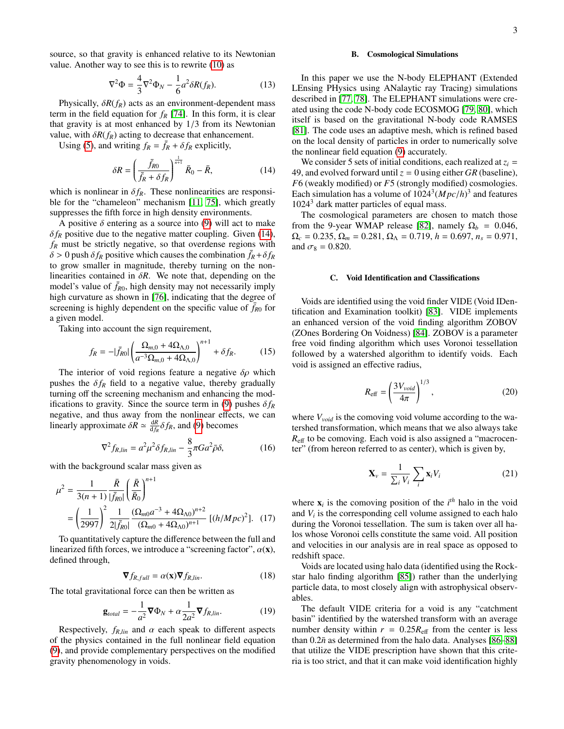source, so that gravity is enhanced relative to its Newtonian value. Another way to see this is to rewrite [\(10\)](#page-1-6) as

$$
\nabla^2 \Phi = \frac{4}{3} \nabla^2 \Phi_N - \frac{1}{6} a^2 \delta R(f_R). \tag{13}
$$

Physically,  $\delta R(f_R)$  acts as an environment-dependent mass term in the field equation for  $f_R$  [\[74\]](#page-15-15). In this form, it is clear that gravity is at most enhanced by 1/3 from its Newtonian value, with  $\delta R(f_R)$  acting to decrease that enhancement.

Using [\(5\)](#page-1-9), and writing  $f_R = \bar{f}_R + \delta f_R$  explicitly,

<span id="page-2-2"></span>
$$
\delta R = \left(\frac{\bar{f}_{R0}}{\bar{f}_R + \delta f_R}\right)^{\frac{1}{n+1}} \bar{R}_0 - \bar{R},\tag{14}
$$

which is nonlinear in  $\delta f_R$ . These nonlinearities are responsi-<br>ble for the "chameleon" mechanism [11, 75], which greatly ble for the "chameleon" mechanism [\[11,](#page-14-5) [75\]](#page-15-16), which greatly suppresses the fifth force in high density environments.

A positive  $\delta$  entering as a source into [\(9\)](#page-1-5) will act to make  $\delta f_R$  positive due to the negative matter coupling. Given [\(14\)](#page-2-2), *f<sup>R</sup>* must be strictly negative, so that overdense regions with  $\delta > 0$  push  $\delta f_R$  positive which causes the combination  $\bar{f}_R + \delta f_R$ to grow smaller in magnitude, thereby turning on the nonlinearities contained in  $\delta R$ . We note that, depending on the model's value of  $\bar{f}_{R0}$ , high density may not necessarily imply high curvature as shown in [\[76\]](#page-15-17), indicating that the degree of screening is highly dependent on the specific value of  $f_{R0}$  for a given model.

Taking into account the sign requirement,

<span id="page-2-6"></span>
$$
f_R = -|\bar{f}_{R0}| \left( \frac{\Omega_{m,0} + 4\Omega_{\Lambda,0}}{a^{-3} \Omega_{m,0} + 4\Omega_{\Lambda,0}} \right)^{n+1} + \delta f_R.
$$
 (15)

The interior of void regions feature a negative  $\delta \rho$  which pushes the  $\delta f_R$  field to a negative value, thereby gradually turning off the screening mechanism and enhancing the mod-ifications to gravity. Since the source term in [\(9\)](#page-1-5) pushes  $\delta f_R$ negative, and thus away from the nonlinear effects, we can linearly approximate  $\delta R \simeq \frac{dR}{df_R} \delta f_R$ , and [\(9\)](#page-1-5) becomes

<span id="page-2-3"></span>
$$
\nabla^2 f_{R,lin} = a^2 \mu^2 \delta f_{R,lin} - \frac{8}{3} \pi G a^2 \bar{\rho} \delta, \qquad (16)
$$

with the background scalar mass given as

$$
\mu^2 = \frac{1}{3(n+1)} \frac{\bar{R}}{|\bar{f}_{R0}|} \left(\frac{\bar{R}}{\bar{R}_0}\right)^{n+1}
$$

$$
= \left(\frac{1}{2997}\right)^2 \frac{1}{2|\bar{f}_{R0}|} \frac{(\Omega_{m0}a^{-3} + 4\Omega_{\Lambda0})^{n+2}}{(\Omega_{m0} + 4\Omega_{\Lambda0})^{n+1}} [(h/Mpc)^2]. \quad (17)
$$

To quantitatively capture the difference between the full and linearized fifth forces, we introduce a "screening factor",  $\alpha(\mathbf{x})$ , defined through,

<span id="page-2-4"></span>
$$
\nabla f_{R,full} = \alpha(\mathbf{x}) \nabla f_{R,lin}.
$$
 (18)

The total gravitational force can then be written as

<span id="page-2-5"></span>
$$
\mathbf{g}_{total} = -\frac{1}{a^2} \mathbf{\nabla} \Phi_N + \alpha \frac{1}{2a^2} \mathbf{\nabla} f_{R,lin}.
$$
 (19)

Respectively,  $f_{R,lin}$  and  $\alpha$  each speak to different aspects of the physics contained in the full nonlinear field equation [\(9\)](#page-1-5), and provide complementary perspectives on the modified gravity phenomenology in voids.

### <span id="page-2-0"></span>B. Cosmological Simulations

In this paper we use the N-body ELEPHANT (Extended LEnsing PHysics using ANalaytic ray Tracing) simulations described in [\[77,](#page-15-18) [78\]](#page-15-19). The ELEPHANT simulations were created using the code N-body code ECOSMOG [\[79,](#page-15-20) [80\]](#page-15-21), which itself is based on the gravitational N-body code RAMSES [\[81\]](#page-15-22). The code uses an adaptive mesh, which is refined based on the local density of particles in order to numerically solve the nonlinear field equation [\(9\)](#page-1-5) accurately.

We consider 5 sets of initial conditions, each realized at  $z_i$  = 49, and evolved forward until  $z = 0$  using either *GR* (baseline), *F*6 (weakly modified) or *F*5 (strongly modified) cosmologies. Each simulation has a volume of  $1024^3 (Mpc/h)^3$  and features  $1024^3$  dark matter particles of equal mass  $1024<sup>3</sup>$  dark matter particles of equal mass.

The cosmological parameters are chosen to match those from the 9-year WMAP release [\[82\]](#page-15-23), namely  $\Omega_b = 0.046$ ,  $\Omega_c = 0.235$ ,  $\Omega_m = 0.281$ ,  $\Omega_{\Lambda} = 0.719$ ,  $h = 0.697$ ,  $n_s = 0.971$ , and  $\sigma_8 = 0.820$ .

# <span id="page-2-1"></span>C. Void Identification and Classifications

Voids are identified using the void finder VIDE (Void IDentification and Examination toolkit) [\[83\]](#page-15-24). VIDE implements an enhanced version of the void finding algorithm ZOBOV (ZOnes Bordering On Voidness) [\[84\]](#page-15-25). ZOBOV is a parameter free void finding algorithm which uses Voronoi tessellation followed by a watershed algorithm to identify voids. Each void is assigned an effective radius,

$$
R_{\text{eff}} = \left(\frac{3V_{void}}{4\pi}\right)^{1/3},\tag{20}
$$

where *Vvoid* is the comoving void volume according to the watershed transformation, which means that we also always take *R*<sub>eff</sub> to be comoving. Each void is also assigned a "macrocenter" (from hereon referred to as center), which is given by,

$$
\mathbf{X}_{\nu} = \frac{1}{\sum_{i} V_{i}} \sum_{i} \mathbf{x}_{i} V_{i}
$$
 (21)

where  $\mathbf{x}_i$  is the comoving position of the  $i^{th}$  halo in the void and  $V_i$  is the corresponding cell volume assigned to each halo during the Voronoi tessellation. The sum is taken over all halos whose Voronoi cells constitute the same void. All position and velocities in our analysis are in real space as opposed to redshift space.

Voids are located using halo data (identified using the Rockstar halo finding algorithm [\[85\]](#page-15-26)) rather than the underlying particle data, to most closely align with astrophysical observables.

The default VIDE criteria for a void is any "catchment basin" identified by the watershed transform with an average number density within  $r = 0.25R<sub>eff</sub>$  from the center is less than  $0.2\bar{n}$  as determined from the halo data. Analyses [\[86–](#page-15-27)[88\]](#page-15-28) that utilize the VIDE prescription have shown that this criteria is too strict, and that it can make void identification highly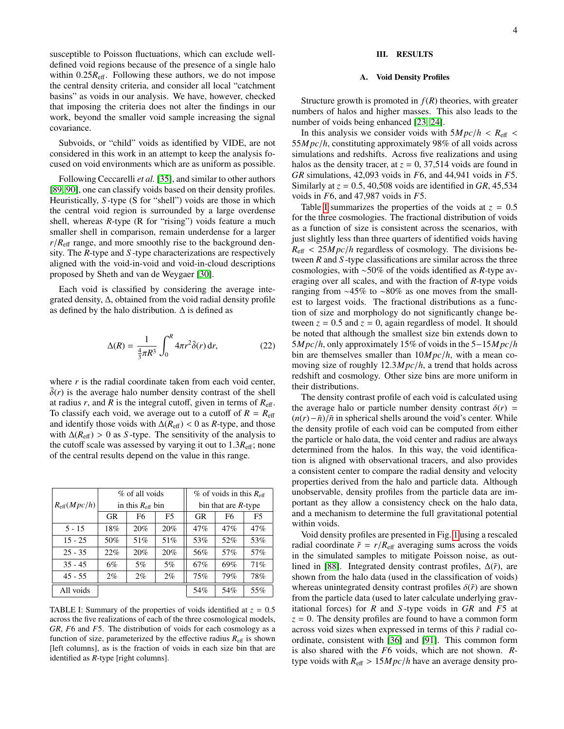susceptible to Poisson fluctuations, which can exclude welldefined void regions because of the presence of a single halo within  $0.25R<sub>eff</sub>$ . Following these authors, we do not impose the central density criteria, and consider all local "catchment basins" as voids in our analysis. We have, however, checked that imposing the criteria does not alter the findings in our work, beyond the smaller void sample increasing the signal covariance.

Subvoids, or "child" voids as identified by VIDE, are not considered in this work in an attempt to keep the analysis focused on void environments which are as uniform as possible.

Following Ceccarelli *et al.* [\[35\]](#page-14-21), and similar to other authors [\[89,](#page-15-29) [90\]](#page-15-30), one can classify voids based on their density profiles. Heuristically, *S* -type (S for "shell") voids are those in which the central void region is surrounded by a large overdense shell, whereas *R*-type (R for "rising") voids feature a much smaller shell in comparison, remain underdense for a larger  $r/R<sub>eff</sub>$  range, and more smoothly rise to the background density. The *R*-type and *S* -type characterizations are respectively aligned with the void-in-void and void-in-cloud descriptions proposed by Sheth and van de Weygaer [\[30\]](#page-14-19).

Each void is classified by considering the average integrated density, ∆, obtained from the void radial density profile as defined by the halo distribution.  $\Delta$  is defined as

$$
\Delta(R) = \frac{1}{\frac{4}{3}\pi R^3} \int_0^R 4\pi r^2 \bar{\delta}(r) dr,
$$
 (22)

where *r* is the radial coordinate taken from each void center.  $\delta(r)$  is the average halo number density contrast of the shell at radius  $r$ , and  $R$  is the integral cutoff, given in terms of  $R_{\text{eff}}$ . To classify each void, we average out to a cutoff of  $R = R_{\text{eff}}$ and identify those voids with  $\Delta(R_{\text{eff}})$  < 0 as *R*-type, and those with  $\Delta(R_{\text{eff}}) > 0$  as *S*-type. The sensitivity of the analysis to the cutoff scale was assessed by varying it out to  $1.3R_{\text{eff}}$ ; none of the central results depend on the value in this range.

|                                                         | % of all voids |                |                        | % of voids in this $R_{\text{eff}}$ |     |     |
|---------------------------------------------------------|----------------|----------------|------------------------|-------------------------------------|-----|-----|
| $R_{\text{eff}}(Mpc/h)$<br>in this $R_{\text{eff}}$ bin |                |                | bin that are $R$ -type |                                     |     |     |
|                                                         | <b>GR</b>      | F <sub>6</sub> | F5                     | GR                                  | F6  | F5  |
| $5 - 15$                                                | 18%            | 20%            | 20%                    | 47%                                 | 47% | 47% |
| $15 - 25$                                               | 50%            | 51%            | 51%                    | 53%                                 | 52% | 53% |
| $25 - 35$                                               | 22%            | 20%            | 20%                    | 56%                                 | 57% | 57% |
| $35 - 45$                                               | 6%             | 5%             | $5\%$                  | 67%                                 | 69% | 71% |
| $45 - 55$                                               | $2\%$          | $2\%$          | 2%                     | 75%                                 | 79% | 78% |
| All voids                                               |                |                |                        | 54%                                 | 54% | 55% |

<span id="page-3-2"></span>TABLE I: Summary of the properties of voids identified at  $z = 0.5$ across the five realizations of each of the three cosmological models, *GR*, *F*6 and *F*5. The distribution of voids for each cosmology as a function of size, parameterized by the effective radius  $R_{\text{eff}}$  is shown [left columns], as is the fraction of voids in each size bin that are identified as *R*-type [right columns].

# <span id="page-3-0"></span>III. RESULTS

### <span id="page-3-1"></span>A. Void Density Profiles

Structure growth is promoted in  $f(R)$  theories, with greater numbers of halos and higher masses. This also leads to the number of voids being enhanced [\[23,](#page-14-30) [24\]](#page-14-31).

In this analysis we consider voids with  $5Mpc/h < R<sub>eff</sub>$ <sup>55</sup>*M pc*/*h*, constituting approximately 98% of all voids across simulations and redshifts. Across five realizations and using halos as the density tracer, at  $z = 0$ , 37,514 voids are found in *GR* simulations, 42,093 voids in *F*6, and 44,941 voids in *F*5. Similarly at  $z = 0.5$ , 40,508 voids are identified in GR, 45,534 voids in *F*6, and 47,987 voids in *F*5.

Table [I](#page-3-2) summarizes the properties of the voids at  $z = 0.5$ for the three cosmologies. The fractional distribution of voids as a function of size is consistent across the scenarios, with just slightly less than three quarters of identified voids having  $R_{\text{eff}} < 25 Mpc/h$  regardless of cosmology. The divisions between *R* and *S* -type classifications are similar across the three cosmologies, with ∼50% of the voids identified as *R*-type averaging over all scales, and with the fraction of *R*-type voids ranging from ∼45% to ∼80% as one moves from the smallest to largest voids. The fractional distributions as a function of size and morphology do not significantly change between  $z = 0.5$  and  $z = 0$ , again regardless of model. It should be noted that although the smallest size bin extends down to <sup>5</sup>*M pc*/*h*, only approximately 15% of voids in the 5−15*M pc*/*<sup>h</sup>* bin are themselves smaller than 10*M pc*/*h*, with a mean comoving size of roughly 12.3*M pc*/*h*, a trend that holds across redshift and cosmology. Other size bins are more uniform in their distributions.

The density contrast profile of each void is calculated using the average halo or particle number density contrast  $\delta(r)$  =  $(n(r) - \bar{n})/\bar{n}$  in spherical shells around the void's center. While the density profile of each void can be computed from either the particle or halo data, the void center and radius are always determined from the halos. In this way, the void identification is aligned with observational tracers, and also provides a consistent center to compare the radial density and velocity properties derived from the halo and particle data. Although unobservable, density profiles from the particle data are important as they allow a consistency check on the halo data, and a mechanism to determine the full gravitational potential within voids.

Void density profiles are presented in Fig. [1](#page-4-0) using a rescaled radial coordinate  $\tilde{r} = r/R_{\text{eff}}$  averaging sums across the voids in the simulated samples to mitigate Poisson noise, as outlined in [\[88\]](#page-15-28). Integrated density contrast profiles, ∆(˜*r*), are shown from the halo data (used in the classification of voids) whereas unintegrated density contrast profiles  $\delta(\tilde{r})$  are shown from the particle data (used to later calculate underlying gravitational forces) for *R* and *S* -type voids in *GR* and *F*5 at  $z = 0$ . The density profiles are found to have a common form across void sizes when expressed in terms of this ˜*r* radial coordinate, consistent with [\[36\]](#page-14-32) and [\[91\]](#page-15-31). This common form is also shared with the *F*6 voids, which are not shown. *R*type voids with  $R_{\text{eff}} > 15 Mpc/h$  have an average density pro-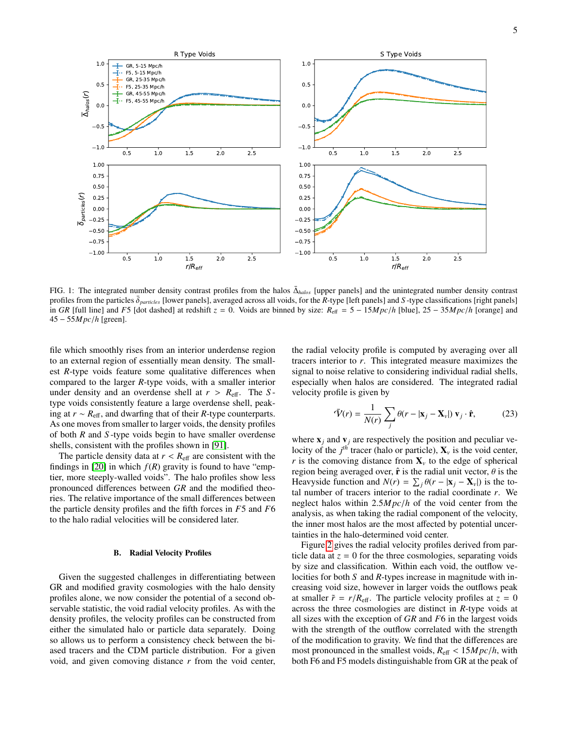

<span id="page-4-0"></span>FIG. 1: The integrated number density contrast profiles from the halos  $\bar{\Delta}_{halos}$  [upper panels] and the unintegrated number density contrast profiles from the particles  $\bar{\delta}_{particles}$  [lower panels], averaged across all voids, for the *R*-type [left panels] and *S* -type classifications [right panels] in *GR* [full line] and *F*5 [dot dashed] at redshift  $z = 0$ . Vo in *GR* [full line] and *F5* [dot dashed] at redshift  $z = 0$ . Voids are binned by size:  $R_{\text{eff}} = 5 - 15 Mpc/h$  [blue],  $25 - 35 Mpc/h$  [orange] and <sup>45</sup> <sup>−</sup> <sup>55</sup>*M pc*/*<sup>h</sup>* [green].

file which smoothly rises from an interior underdense region to an external region of essentially mean density. The smallest *R*-type voids feature some qualitative differences when compared to the larger *R*-type voids, with a smaller interior under density and an overdense shell at  $r > R_{\text{eff}}$ . The *S*type voids consistently feature a large overdense shell, peaking at *r* ∼ *R*eff, and dwarfing that of their *R*-type counterparts. As one moves from smaller to larger voids, the density profiles of both *R* and *S* -type voids begin to have smaller overdense shells, consistent with the profiles shown in [\[91\]](#page-15-31).

The particle density data at  $r < R_{\text{eff}}$  are consistent with the findings in [\[20\]](#page-14-33) in which  $f(R)$  gravity is found to have "emptier, more steeply-walled voids". The halo profiles show less pronounced differences between *GR* and the modified theories. The relative importance of the small differences between the particle density profiles and the fifth forces in *F*5 and *F*6 to the halo radial velocities will be considered later.

### B. Radial Velocity Profiles

Given the suggested challenges in differentiating between GR and modified gravity cosmologies with the halo density profiles alone, we now consider the potential of a second observable statistic, the void radial velocity profiles. As with the density profiles, the velocity profiles can be constructed from either the simulated halo or particle data separately. Doing so allows us to perform a consistency check between the biased tracers and the CDM particle distribution. For a given void, and given comoving distance *r* from the void center,

the radial velocity profile is computed by averaging over all tracers interior to *r*. This integrated measure maximizes the signal to noise relative to considering individual radial shells, especially when halos are considered. The integrated radial velocity profile is given by

$$
\bar{\mathbf{V}}(r) = \frac{1}{N(r)} \sum_{j} \theta(r - |\mathbf{x}_{j} - \mathbf{X}_{\nu}|) \mathbf{v}_{j} \cdot \hat{\mathbf{r}},
$$
 (23)

where  $\mathbf{x}_i$  and  $\mathbf{v}_j$  are respectively the position and peculiar velocity of the  $j<sup>th</sup>$  tracer (halo or particle),  $\mathbf{X}_{\nu}$  is the void center, *r* is the comoving distance from  $X<sub>v</sub>$  to the edge of spherical region being averaged over,  $\hat{\mathbf{r}}$  is the radial unit vector,  $\theta$  is the Heavyside function and  $N(r) = \sum_j \theta(r - |\mathbf{x}_j - \mathbf{X}_v|)$  is the to-<br>tal number of tracers interior to the radial coordinate r. We tal number of tracers interior to the radial coordinate *r*. We neglect halos within 2.5*M pc*/*<sup>h</sup>* of the void center from the analysis, as when taking the radial component of the velocity, the inner most halos are the most affected by potential uncertainties in the halo-determined void center.

Figure [2](#page-5-2) gives the radial velocity profiles derived from particle data at  $z = 0$  for the three cosmologies, separating voids by size and classification. Within each void, the outflow velocities for both *S* and *R*-types increase in magnitude with increasing void size, however in larger voids the outflows peak at smaller  $\tilde{r} = r/R_{\text{eff}}$ . The particle velocity profiles at  $z = 0$ across the three cosmologies are distinct in *R*-type voids at all sizes with the exception of *GR* and *F*6 in the largest voids with the strength of the outflow correlated with the strength of the modification to gravity. We find that the differences are most pronounced in the smallest voids,  $R_{\text{eff}} < 15 Mpc/h$ , with both F6 and F5 models distinguishable from GR at the peak of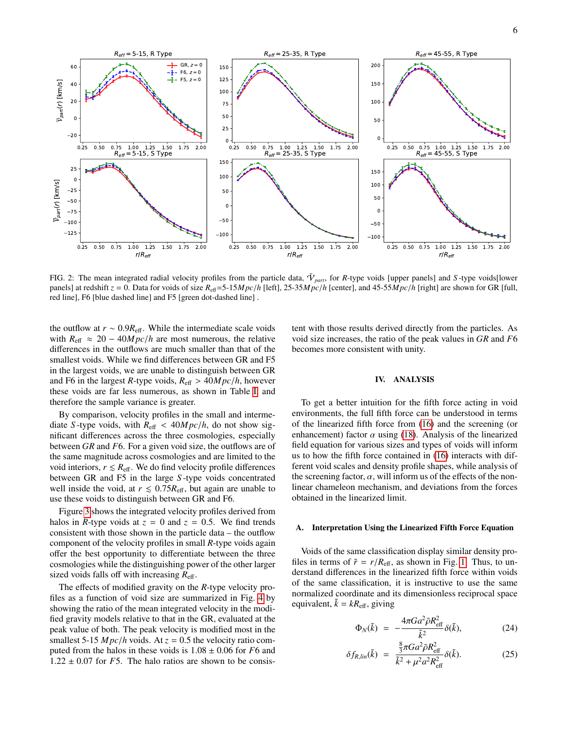

<span id="page-5-2"></span>FIG. 2: The mean integrated radial velocity profiles from the particle data,  $\bar{V}_{part}$ , for *R*-type voids [upper panels] and *S*-type voids[lower panels] at redshift  $z = 0$ . Data for voids of size  $R_{\text{eff}} = 5-15 Mpc/h$  [left], 25-35 $Mpc/h$  [center], and 45-55 $Mpc/h$  [right] are shown for GR [full, red line], F6 [blue dashed line] and F5 [green dot-dashed line] .

the outflow at  $r \sim 0.9R_{\text{eff}}$ . While the intermediate scale voids with  $R_{\text{eff}} \approx 20 - 40 Mpc/h$  are most numerous, the relative differences in the outflows are much smaller than that of the smallest voids. While we find differences between GR and F5 in the largest voids, we are unable to distinguish between GR and F6 in the largest *R*-type voids,  $R_{\text{eff}} > 40 Mpc/h$ , however these voids are far less numerous, as shown in Table [I,](#page-3-2) and therefore the sample variance is greater.

By comparison, velocity profiles in the small and intermediate *S*-type voids, with  $R_{\text{eff}} < 40 Mpc/h$ , do not show significant differences across the three cosmologies, especially between *GR* and *F*6. For a given void size, the outflows are of the same magnitude across cosmologies and are limited to the void interiors,  $r \leq R_{\text{eff}}$ . We do find velocity profile differences between GR and F5 in the large *S* -type voids concentrated well inside the void, at  $r \leq 0.75R_{\text{eff}}$ , but again are unable to use these voids to distinguish between GR and F6.

Figure [3](#page-6-0) shows the integrated velocity profiles derived from halos in *R*-type voids at  $z = 0$  and  $z = 0.5$ . We find trends consistent with those shown in the particle data – the outflow component of the velocity profiles in small *R*-type voids again offer the best opportunity to differentiate between the three cosmologies while the distinguishing power of the other larger sized voids falls off with increasing  $R_{\text{eff}}$ .

The effects of modified gravity on the *R*-type velocity profiles as a function of void size are summarized in Fig. [4](#page-7-0) by showing the ratio of the mean integrated velocity in the modified gravity models relative to that in the GR, evaluated at the peak value of both. The peak velocity is modified most in the smallest 5-15  $Mpc/h$  voids. At  $z = 0.5$  the velocity ratio computed from the halos in these voids is 1.<sup>08</sup> <sup>±</sup> <sup>0</sup>.06 for *<sup>F</sup>*6 and  $1.22 \pm 0.07$  for *F*5. The halo ratios are shown to be consistent with those results derived directly from the particles. As void size increases, the ratio of the peak values in *GR* and *F*6 becomes more consistent with unity.

# <span id="page-5-0"></span>IV. ANALYSIS

To get a better intuition for the fifth force acting in void environments, the full fifth force can be understood in terms of the linearized fifth force from [\(16\)](#page-2-3) and the screening (or enhancement) factor  $\alpha$  using [\(18\)](#page-2-4). Analysis of the linearized field equation for various sizes and types of voids will inform us to how the fifth force contained in [\(16\)](#page-2-3) interacts with different void scales and density profile shapes, while analysis of the screening factor,  $\alpha$ , will inform us of the effects of the nonlinear chameleon mechanism, and deviations from the forces obtained in the linearized limit.

### <span id="page-5-1"></span>A. Interpretation Using the Linearized Fifth Force Equation

Voids of the same classification display similar density profiles in terms of  $\tilde{r} = r/R_{\text{eff}}$ , as shown in Fig. [1.](#page-4-0) Thus, to understand differences in the linearized fifth force within voids of the same classification, it is instructive to use the same normalized coordinate and its dimensionless reciprocal space equivalent,  $\tilde{k} = kR_{\text{eff}}$ , giving

$$
\Phi_N(\tilde{k}) = -\frac{4\pi G a^2 \bar{\rho} R_{\text{eff}}^2}{\tilde{k}^2} \delta(\tilde{k}),\tag{24}
$$

$$
\delta f_{R,lin}(\tilde{k}) = \frac{\frac{8}{3}\pi G a^2 \bar{\rho} R_{\text{eff}}^2}{\tilde{k}^2 + \mu^2 a^2 R_{\text{eff}}^2} \delta(\tilde{k}). \tag{25}
$$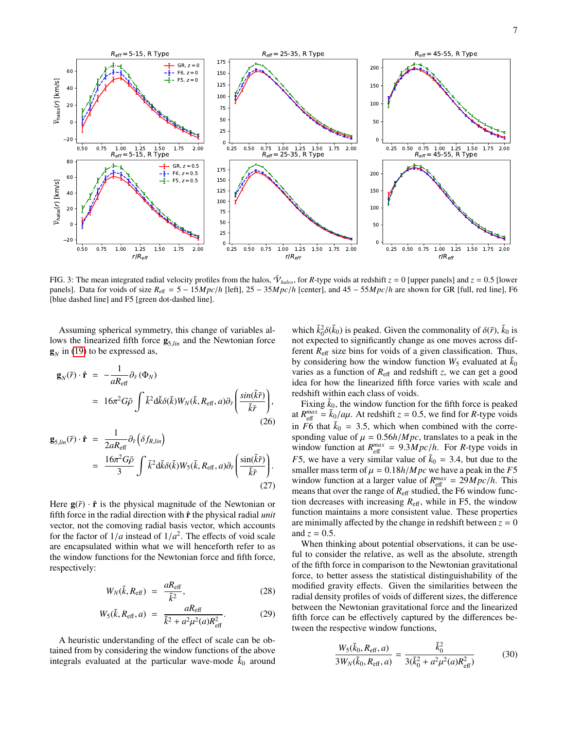

<span id="page-6-0"></span>FIG. 3: The mean integrated radial velocity profiles from the halos,  $\bar{V}_{halos}$ , for *R*-type voids at redshift  $z = 0$  [upper panels] and  $z = 0.5$  [lower panels] and  $z = 0.5$  [lower panels] and  $z = 0.5$  [lower panels] and panels]. Data for voids of size  $R_{\text{eff}} = 5 - 15 Mpc/h$  [left], 25 − 35 $Mpc/h$  [center], and 45 − 55 $Mpc/h$  are shown for GR [full, red line], F6 [blue dashed line] and F5 [green dot-dashed line].

Assuming spherical symmetry, this change of variables allows the linearized fifth force  $g_{5,lin}$  and the Newtonian force  $\mathbf{g}_N$  in [\(19\)](#page-2-5) to be expressed as,

$$
\mathbf{g}_N(\tilde{r}) \cdot \hat{\mathbf{r}} = -\frac{1}{aR_{\text{eff}}} \partial_{\tilde{r}} (\Phi_N)
$$
  
=  $16\pi^2 G \bar{\rho} \int \tilde{k}^2 d\tilde{k} \delta(\tilde{k}) W_N(\tilde{k}, R_{\text{eff}}, a) \partial_{\tilde{r}} \left( \frac{\sin(\tilde{k}\tilde{r})}{\tilde{k}\tilde{r}} \right),$  (26)

$$
\mathbf{g}_{5,lin}(\tilde{r}) \cdot \hat{\mathbf{r}} = \frac{1}{2aR_{\text{eff}}} \partial_{\tilde{r}} \left( \delta f_{R,lin} \right)
$$
  
= 
$$
\frac{16\pi^2 G \bar{\rho}}{3} \int \tilde{k}^2 d\tilde{k} \delta(\tilde{k}) W_5(\tilde{k}, R_{\text{eff}}, a) \partial_{\tilde{r}} \left( \frac{\sin(\tilde{k}\tilde{r})}{\tilde{k}\tilde{r}} \right).
$$
 (27)

Here  $g(\tilde{r}) \cdot \hat{r}$  is the physical magnitude of the Newtonian or fifth force in the radial direction with  $\hat{\bf{r}}$  the physical radial *unit* vector, not the comoving radial basis vector, which accounts for the factor of  $1/a$  instead of  $1/a^2$ . The effects of void scale<br>are encansulated within what we will henceforth refer to as are encapsulated within what we will henceforth refer to as the window functions for the Newtonian force and fifth force, respectively:

<span id="page-6-1"></span>
$$
W_N(\tilde{k}, R_{\text{eff}}) = \frac{aR_{\text{eff}}}{\tilde{k}^2}, \qquad (28)
$$

$$
W_5(\tilde{k}, R_{\text{eff}}, a) = \frac{aR_{\text{eff}}}{\tilde{k}^2 + a^2 \mu^2(a)R_{\text{eff}}^2}.
$$
 (29)

A heuristic understanding of the effect of scale can be obtained from by considering the window functions of the above integrals evaluated at the particular wave-mode  $k_0$  around

which  $\tilde{k}_0^2 \delta(\tilde{k}_0)$  is peaked. Given the commonality of  $\delta(\tilde{r})$ ,  $\tilde{k}_0$  is not expected to significantly change as one moves across difnot expected to significantly change as one moves across different  $R_{\text{eff}}$  size bins for voids of a given classification. Thus, by considering how the window function  $W_5$  evaluated at  $k_0$ varies as a function of  $R_{\text{eff}}$  and redshift *z*, we can get a good idea for how the linearized fifth force varies with scale and redshift within each class of voids.

Fixing  $\tilde{k}_0$ , the window function for the fifth force is peaked at  $R_{\text{eff}}^{max} = \tilde{k}_0/a\mu$ . At redshift  $z = 0.5$ , we find for *R*-type voids<br>in  $E_0^2 + \text{td } \tilde{k}_0 = 3.5$  which when combined with the corresponding in  $F6$  that  $\tilde{k}_0 = 3.5$ , which when combined with the corresponding value of  $\mu = 0.56h/Mpc$ , translates to a peak in the window function at  $R_{\text{eff}}^{max} = 9.3 Mpc/h$ . For *R*-type voids in *F*5, we have a very similar value of  $\tilde{k}_0$  = 3.4, but due to the smaller mass term of  $\mu = 0.18h/Mpc$  we have a peak in the *F*5 window function at a larger value of  $R_{\text{eff}}^{max} = 29 Mpc/h$ . This means that over the range of  $R_{\text{eff}}$  studied the F6 window funcmeans that over the range of  $R_{\text{eff}}$  studied, the F6 window function decreases with increasing  $R_{\text{eff}}$ , while in F5, the window function maintains a more consistent value. These properties are minimally affected by the change in redshift between  $z = 0$ and  $z = 0.5$ .

When thinking about potential observations, it can be useful to consider the relative, as well as the absolute, strength of the fifth force in comparison to the Newtonian gravitational force, to better assess the statistical distinguishability of the modified gravity effects. Given the similarities between the radial density profiles of voids of different sizes, the difference between the Newtonian gravitational force and the linearized fifth force can be effectively captured by the differences between the respective window functions,

<span id="page-6-2"></span>
$$
\frac{W_5(\tilde{k}_0, R_{\text{eff}}, a)}{3W_N(\tilde{k}_0, R_{\text{eff}}, a)} = \frac{\tilde{k}_0^2}{3(\tilde{k}_0^2 + a^2\mu^2(a)R_{\text{eff}}^2)}
$$
(30)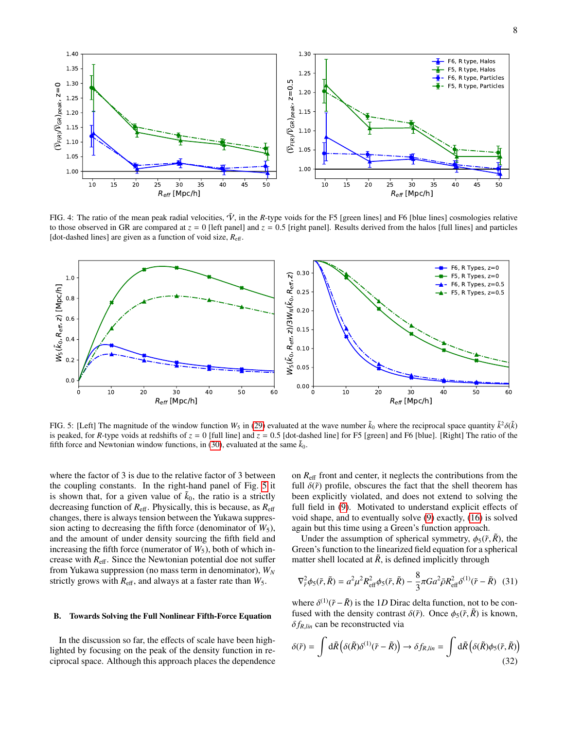

<span id="page-7-0"></span>FIG. 4: The ratio of the mean peak radial velocities,  $\bar{V}$ , in the *R*-type voids for the F5 [green lines] and F6 [blue lines] cosmologies relative to those observed in GR are compared at  $z = 0$  [left panel] and  $z = 0.5$  [right panel]. Results derived from the halos [full lines] and particles [dot-dashed lines] are given as a function of void size, *R*eff.



<span id="page-7-1"></span>FIG. 5: [Left] The magnitude of the window function  $W_5$  in [\(29\)](#page-6-1) evaluated at the wave number  $\tilde{k}_0$  where the reciprocal space quantity  $\tilde{k}^2 \delta(\tilde{k})$ <br>is peaked, for *R*-type voids at redshifts of  $z = 0$  full linel is peaked, for *R*-type voids at redshifts of  $z = 0$  [full line] and  $z = 0.5$  [dot-dashed line] for F5 [green] and F6 [blue]. [Right] The ratio of the fifth force and Newtonian window functions, in [\(30\)](#page-6-2), evaluated at the same  $\tilde{k}_0$ .

where the factor of 3 is due to the relative factor of 3 between the coupling constants. In the right-hand panel of Fig. [5](#page-7-1) it is shown that, for a given value of  $\tilde{k}_0$ , the ratio is a strictly decreasing function of *R*eff. Physically, this is because, as *R*eff changes, there is always tension between the Yukawa suppression acting to decreasing the fifth force (denominator of  $W_5$ ), and the amount of under density sourcing the fifth field and increasing the fifth force (numerator of  $W_5$ ), both of which increase with  $R_{\text{eff}}$ . Since the Newtonian potential doe not suffer from Yukawa suppression (no mass term in denominator), *W<sup>N</sup>* strictly grows with  $R_{\text{eff}}$ , and always at a faster rate than  $W_5$ .

### <span id="page-7-4"></span>B. Towards Solving the Full Nonlinear Fifth-Force Equation

In the discussion so far, the effects of scale have been highlighted by focusing on the peak of the density function in reciprocal space. Although this approach places the dependence

on *R*eff front and center, it neglects the contributions from the full  $\delta(\tilde{r})$  profile, obscures the fact that the shell theorem has been explicitly violated, and does not extend to solving the full field in [\(9\)](#page-1-5). Motivated to understand explicit effects of void shape, and to eventually solve [\(9\)](#page-1-5) exactly, [\(16\)](#page-2-3) is solved again but this time using a Green's function approach.

Under the assumption of spherical symmetry,  $\phi_5(\tilde{r}, \tilde{R})$ , the Green's function to the linearized field equation for a spherical matter shell located at  $\tilde{R}$ , is defined implicitly through

<span id="page-7-2"></span>
$$
\nabla_{\tilde{r}}^2 \phi_5(\tilde{r}, \tilde{R}) = a^2 \mu^2 R_{\text{eff}}^2 \phi_5(\tilde{r}, \tilde{R}) - \frac{8}{3} \pi G a^2 \bar{\rho} R_{\text{eff}}^2 \delta^{(1)}(\tilde{r} - \tilde{R}) \tag{31}
$$

where  $\delta^{(1)}(\tilde{r} - \tilde{R})$  is the 1*D* Dirac delta function, not to be confused with the density contrast  $\delta(\tilde{r})$ . Once  $\delta_{\varepsilon}(\tilde{r}, \tilde{R})$  is known fused with the density contrast  $\delta(\tilde{r})$ . Once  $\phi_5(\tilde{r}, \tilde{R})$  is known,  $\delta f_{R,lin}$  can be reconstructed via

<span id="page-7-3"></span>
$$
\delta(\tilde{r}) = \int d\tilde{R} \left( \delta(\tilde{R}) \delta^{(1)}(\tilde{r} - \tilde{R}) \right) \to \delta f_{R,lin} = \int d\tilde{R} \left( \delta(\tilde{R}) \phi_5(\tilde{r}, \tilde{R}) \right)
$$
\n(32)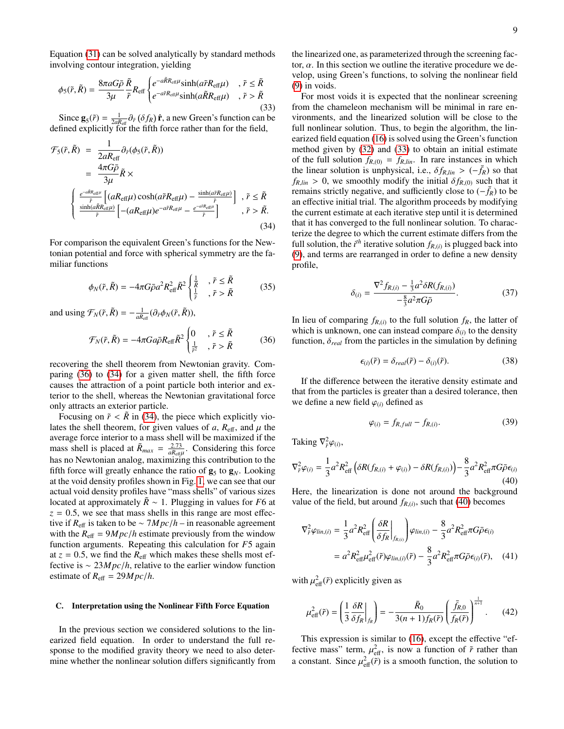Equation [\(31\)](#page-7-2) can be solved analytically by standard methods involving contour integration, yielding

<span id="page-8-3"></span>
$$
\phi_5(\tilde{r}, \tilde{R}) = \frac{8\pi aG\bar{\rho}}{3\mu} \frac{\tilde{R}}{\tilde{r}} R_{\text{eff}} \begin{cases} e^{-a\tilde{R}R_{\text{eff}}\mu} \sinh(a\tilde{r}R_{\text{eff}}\mu) & , \tilde{r} \leq \tilde{R} \\ e^{-a\tilde{r}R_{\text{eff}}\mu} \sinh(a\tilde{R}R_{\text{eff}}\mu) & , \tilde{r} > \tilde{R} \end{cases}
$$
(33)

Since  $\mathbf{g}_5(\tilde{r}) = \frac{1}{2aR_{\text{eff}}} \partial_{\tilde{r}} (\delta f_R) \hat{\mathbf{r}}$ , a new Green's function can be fined explicitly for the fifth force rather than for the field defined explicitly for the fifth force rather than for the field,

<span id="page-8-2"></span>
$$
\mathcal{F}_{5}(\tilde{r}, \tilde{R}) = \frac{1}{2aR_{\text{eff}}}\partial_{\tilde{r}}(\phi_{5}(\tilde{r}, \tilde{R}))
$$
\n
$$
= \frac{4\pi G\bar{\rho}}{3\mu}\tilde{R} \times
$$
\n
$$
\begin{cases}\n\frac{e^{-a\tilde{\kappa}R_{\text{eff}}\mu}}{\tilde{r}}\left[ (aR_{\text{eff}}\mu)\cosh(a\tilde{r}R_{\text{eff}}\mu) - \frac{\sinh(a\tilde{r}R_{\text{eff}}\mu)}{\tilde{r}} \right], \ \tilde{r} \leq \tilde{R} \\
\frac{\sinh(a\tilde{R}R_{\text{eff}}\mu)}{\tilde{r}}\left[ -(aR_{\text{eff}}\mu)e^{-a\tilde{r}R_{\text{eff}}\mu} - \frac{e^{-a\tilde{r}R_{\text{eff}}\mu}}{\tilde{r}} \right], \ \tilde{r} > \tilde{R}.\n\end{cases}
$$
\n(34)

For comparison the equivalent Green's functions for the Newtonian potential and force with spherical symmetry are the familiar functions

$$
\phi_N(\tilde{r}, \tilde{R}) = -4\pi G \bar{\rho} a^2 R_{\text{eff}}^2 \tilde{R}^2 \begin{cases} \frac{1}{\tilde{R}} & , \tilde{r} \le \tilde{R} \\ \frac{1}{\tilde{r}} & , \tilde{r} > \tilde{R} \end{cases}
$$
(35)

and using  $\mathcal{F}_N(\tilde{r}, \tilde{R}) = -\frac{1}{aR_{\text{eff}}}(\partial_{\tilde{r}}\phi_N(\tilde{r}, \tilde{R})),$ 

<span id="page-8-1"></span>
$$
\mathcal{F}_N(\tilde{r}, \tilde{R}) = -4\pi G a \bar{\rho} R_{\text{eff}} \tilde{R}^2 \begin{cases} 0 & , \tilde{r} \le \tilde{R} \\ \frac{1}{\tilde{r}^2} & , \tilde{r} > \tilde{R} \end{cases}
$$
 (36)

recovering the shell theorem from Newtonian gravity. Comparing [\(36\)](#page-8-1) to [\(34\)](#page-8-2) for a given matter shell, the fifth force causes the attraction of a point particle both interior and exterior to the shell, whereas the Newtonian gravitational force only attracts an exterior particle.

Focusing on  $\tilde{r}$  < *R* in [\(34\)](#page-8-2), the piece which explicitly violates the shell theorem, for given values of  $a$ ,  $R_{\text{eff}}$ , and  $\mu$  the average force interior to a mass shell will be maximized if the mass shell is placed at  $\tilde{R}_{max} = \frac{2.73}{aR_{\text{eff}}}$ . Considering this force has no Newtonian analog, maximizing this contribution to the fifth force will greatly enhance the ratio of  $\mathbf{g}_5$  to  $\mathbf{g}_N$ . Looking at the void density profiles shown in Fig. [1,](#page-4-0) we can see that our actual void density profiles have "mass shells" of various sizes located at approximately  $R \sim 1$ . Plugging in values for *F6* at  $z = 0.5$ , we see that mass shells in this range are most effective if  $R_{\text{eff}}$  is taken to be ∼  $7Mpc/h$  – in reasonable agreement with the  $R_{\text{eff}} = 9Mpc/h$  estimate previously from the window function arguments. Repeating this calculation for *F*5 again at  $z = 0.5$ , we find the  $R_{\text{eff}}$  which makes these shells most effective is <sup>∼</sup> <sup>23</sup>*M pc*/*h*, relative to the earlier window function estimate of  $R_{\text{eff}} = 29 Mpc/h$ .

### <span id="page-8-0"></span>C. Interpretation using the Nonlinear Fifth Force Equation

In the previous section we considered solutions to the linearized field equation. In order to understand the full response to the modified gravity theory we need to also determine whether the nonlinear solution differs significantly from the linearized one, as parameterized through the screening factor,  $\alpha$ . In this section we outline the iterative procedure we develop, using Green's functions, to solving the nonlinear field [\(9\)](#page-1-5) in voids.

For most voids it is expected that the nonlinear screening from the chameleon mechanism will be minimal in rare environments, and the linearized solution will be close to the full nonlinear solution. Thus, to begin the algorithm, the linearized field equation [\(16\)](#page-2-3) is solved using the Green's function method given by [\(32\)](#page-7-3) and [\(33\)](#page-8-3) to obtain an initial estimate of the full solution  $f_{R,(0)} = f_{R,lin}$ . In rare instances in which the linear solution is unphysical, i.e.,  $\delta f_{R,lin} > (-f_R)$  so that  $f_{R,lin} > 0$ , we smoothly modify the initial  $\delta f_{R,(0)}$  such that it remains strictly negative, and sufficiently close to  $(-\bar{f}_R)$  to be an effective initial trial. The algorithm proceeds by modifying the current estimate at each iterative step until it is determined that it has converged to the full nonlinear solution. To characterize the degree to which the current estimate differs from the full solution, the *i<sup>th</sup>* iterative solution  $f_{R_i(i)}$  is plugged back into (0) and terms are rearranged in order to define a new density [\(9\)](#page-1-5), and terms are rearranged in order to define a new density profile,

$$
\delta_{(i)} = \frac{\nabla^2 f_{R,(i)} - \frac{1}{3} a^2 \delta R(f_{R,(i)})}{-\frac{8}{3} a^2 \pi G \bar{\rho}}.
$$
 (37)

In lieu of comparing  $f_{R(i)}$  to the full solution  $f_R$ , the latter of which is unknown one can instead compare  $\delta_{\alpha}$  to the density which is unknown, one can instead compare  $\delta_{(i)}$  to the density function  $\delta_{i,j}$  from the particles in the simulation by defining function,  $\delta_{real}$  from the particles in the simulation by defining

$$
\epsilon_{(i)}(\tilde{r}) = \delta_{real}(\tilde{r}) - \delta_{(i)}(\tilde{r}). \tag{38}
$$

If the difference between the iterative density estimate and that from the particles is greater than a desired tolerance, then we define a new field  $\varphi$ <sub>(*i*)</sub> defined as

$$
\varphi_{(i)} = f_{R,full} - f_{R,(i)}.\tag{39}
$$

Taking  $\nabla^2_{\tilde{r}}\varphi_{(i)},$ 

<span id="page-8-4"></span>
$$
\nabla_{\tilde{r}}^2 \varphi_{(i)} = \frac{1}{3} a^2 R_{\text{eff}}^2 \left( \delta R(f_{R,(i)} + \varphi_{(i)}) - \delta R(f_{R,(i)}) \right) - \frac{8}{3} a^2 R_{\text{eff}}^2 \pi G \bar{\rho} \epsilon_{(i)}
$$
(40)

Here, the linearization is done not around the background value of the field, but around  $f_{R,(i)}$ , such that [\(40\)](#page-8-4) becomes

$$
\nabla_{\tilde{r}}^2 \varphi_{lin,(i)} = \frac{1}{3} a^2 R_{\text{eff}}^2 \left( \frac{\delta R}{\delta f_R} \Big|_{f_{R,(i)}} \right) \varphi_{lin,(i)} - \frac{8}{3} a^2 R_{\text{eff}}^2 \pi G \bar{\rho} \epsilon_{(i)}
$$

$$
= a^2 R_{\text{eff}}^2 \mu_{\text{eff}}^2(\tilde{r}) \varphi_{lin,(i)}(\tilde{r}) - \frac{8}{3} a^2 R_{\text{eff}}^2 \pi G \bar{\rho} \epsilon_{(i)}(\tilde{r}), \quad (41)
$$

with  $\mu_{\text{eff}}^2(\tilde{r})$  explicitly given as

<span id="page-8-5"></span>
$$
\mu_{\text{eff}}^2(\tilde{r}) = \left(\frac{1}{3}\frac{\delta R}{\delta f_R}\bigg|_{f_R}\right) = -\frac{\bar{R}_0}{3(n+1)f_R(\tilde{r})}\left(\frac{\bar{f}_{R,0}}{f_R(\tilde{r})}\right)^{\frac{1}{n+1}}.\tag{42}
$$

This expression is similar to [\(16\)](#page-2-3), except the effective "effective mass" term,  $\mu_{\text{eff}}^2$ , is now a function of  $\tilde{r}$  rather than<br>a constant. Since  $\mu^2$  ( $\tilde{r}$ ) is a smooth function, the solution to a constant. Since  $\mu_{\text{eff}}^2(\tilde{r})$  is a smooth function, the solution to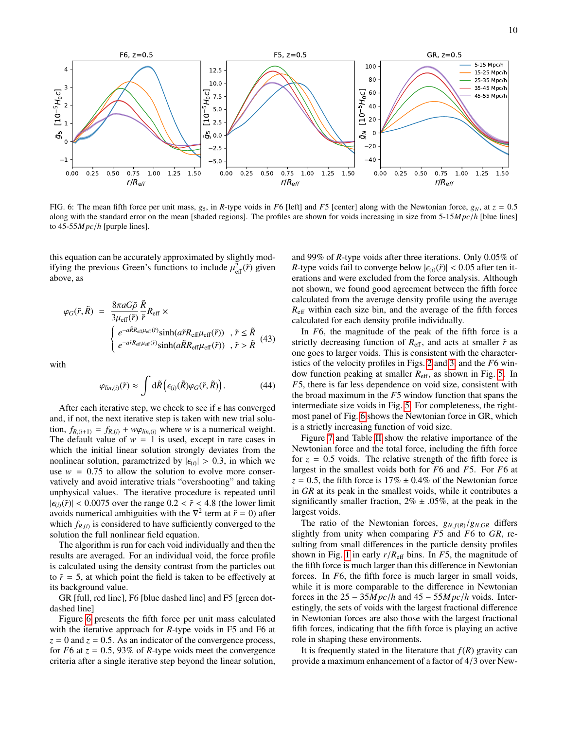

<span id="page-9-0"></span>FIG. 6: The mean fifth force per unit mass,  $g_5$ , in *R*-type voids in *F*6 [left] and *F*5 [center] along with the Newtonian force,  $g_N$ , at  $z = 0.5$ along with the standard error on the mean [shaded regions]. The profiles are shown for voids increasing in size from 5-15*M pc*/*<sup>h</sup>* [blue lines] to 45-55*M pc*/*<sup>h</sup>* [purple lines].

this equation can be accurately approximated by slightly modifying the previous Green's functions to include  $\mu_{\text{eff}}^2(\tilde{r})$  given<br>above as above, as

$$
\varphi_G(\tilde{r}, \tilde{R}) = \frac{8\pi aG\bar{\rho}}{3\mu_{\text{eff}}(\tilde{r})} \frac{\tilde{R}}{\tilde{r}} R_{\text{eff}} \times \n\begin{cases}\ne^{-a\tilde{R}R_{\text{eff}}\mu_{\text{eff}}(\tilde{r})} \sinh(a\tilde{r}R_{\text{eff}}\mu_{\text{eff}}(\tilde{r})) , \tilde{r} \leq \tilde{R} \\
e^{-a\tilde{r}R_{\text{eff}}\mu_{\text{eff}}(\tilde{r})} \sinh(a\tilde{R}R_{\text{eff}}\mu_{\text{eff}}(\tilde{r})) , \tilde{r} > \tilde{R}\n\end{cases} (43)
$$

with

$$
\varphi_{lin,(i)}(\tilde{r}) \approx \int d\tilde{R} \left( \epsilon_{(i)}(\tilde{R}) \varphi_G(\tilde{r}, \tilde{R}) \right). \tag{44}
$$

After each iterative step, we check to see if  $\epsilon$  has converged and, if not, the next iterative step is taken with new trial solution,  $f_{R,(i+1)} = f_{R,(i)} + w\varphi_{lin,(i)}$  where *w* is a numerical weight. The default value of  $w = 1$  is used, except in rare cases in which the initial linear solution strongly deviates from the nonlinear solution, parametrized by  $|\epsilon_{(i)}| > 0.3$ , in which we use  $w = 0.75$  to allow the solution to evolve more conseruse  $w = 0.75$  to allow the solution to evolve more conservatively and avoid interative trials "overshooting" and taking unphysical values. The iterative procedure is repeated until  $|\epsilon_{(i)}(\tilde{r})|$  < 0.0075 over the range 0.2 <  $\tilde{r}$  < 4.8 (the lower limit avoids numerical ambiguities with the  $\nabla^2$  term at  $\tilde{r} = 0$ ) after which  $f_{R,(i)}$  is considered to have sufficiently converged to the solution the full poplinear field equation. solution the full nonlinear field equation.

The algorithm is run for each void individually and then the results are averaged. For an individual void, the force profile is calculated using the density contrast from the particles out to  $\tilde{r}$  = 5, at which point the field is taken to be effectively at its background value.

GR [full, red line], F6 [blue dashed line] and F5 [green dotdashed line]

Figure [6](#page-9-0) presents the fifth force per unit mass calculated with the iterative approach for *R*-type voids in F5 and F6 at  $z = 0$  and  $z = 0.5$ . As an indicator of the convergence process, for  $F6$  at  $z = 0.5$ , 93% of *R*-type voids meet the convergence criteria after a single iterative step beyond the linear solution,

and 99% of *<sup>R</sup>*-type voids after three iterations. Only 0.05% of *R*-type voids fail to converge below  $|\epsilon_{(i)}(\tilde{r})|$  < 0.05 after ten iterations and were excluded from the force analysis. Although not shown, we found good agreement between the fifth force calculated from the average density profile using the average *R*eff within each size bin, and the average of the fifth forces calculated for each density profile individually.

In *F*6, the magnitude of the peak of the fifth force is a strictly decreasing function of  $R_{\text{eff}}$ , and acts at smaller  $\tilde{r}$  as one goes to larger voids. This is consistent with the characteristics of the velocity profiles in Figs. [2](#page-5-2) and [3,](#page-6-0) and the *F*6 window function peaking at smaller *R*eff, as shown in Fig. [5.](#page-7-1) In *F*5, there is far less dependence on void size, consistent with the broad maximum in the *F*5 window function that spans the intermediate size voids in Fig. [5.](#page-7-1) For completeness, the rightmost panel of Fig. [6](#page-9-0) shows the Newtonian force in GR, which is a strictly increasing function of void size.

Figure [7](#page-10-1) and Table [II](#page-10-2) show the relative importance of the Newtonian force and the total force, including the fifth force for  $z = 0.5$  voids. The relative strength of the fifth force is largest in the smallest voids both for *F*6 and *F*5. For *F*6 at  $z = 0.5$ , the fifth force is  $17\% \pm 0.4\%$  of the Newtonian force in *GR* at its peak in the smallest voids, while it contributes a significantly smaller fraction,  $2\% \pm .05\%$ , at the peak in the largest voids.

The ratio of the Newtonian forces,  $g_{N,f(R)}/g_{N,GR}$  differs slightly from unity when comparing *F*5 and *F*6 to *GR*, resulting from small differences in the particle density profiles shown in Fig. [1](#page-4-0) in early  $r/R_{\text{eff}}$  bins. In *F*5, the magnitude of the fifth force is much larger than this difference in Newtonian forces. In *F*6, the fifth force is much larger in small voids, while it is more comparable to the difference in Newtonian forces in the  $25 - 35Mpc/h$  and  $45 - 55Mpc/h$  voids. Interestingly, the sets of voids with the largest fractional difference in Newtonian forces are also those with the largest fractional fifth forces, indicating that the fifth force is playing an active role in shaping these environments.

It is frequently stated in the literature that  $f(R)$  gravity can provide a maximum enhancement of a factor of 4/3 over New-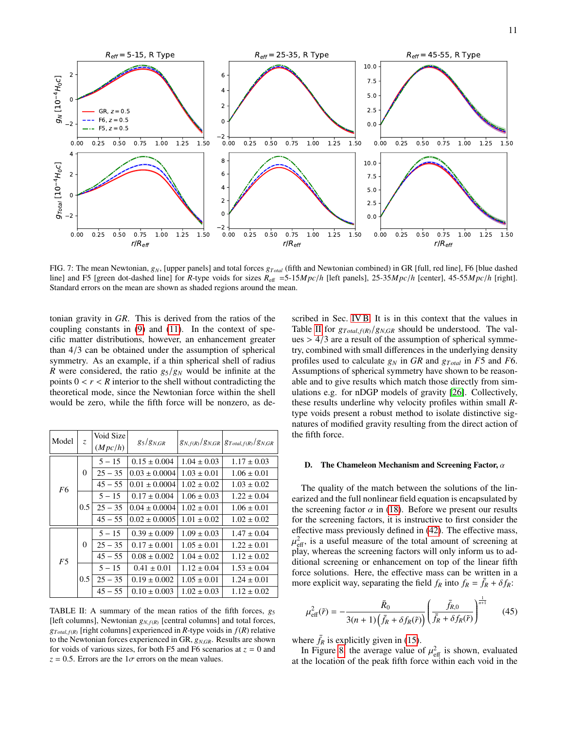

<span id="page-10-1"></span>FIG. 7: The mean Newtonian,  $g_N$ , [upper panels] and total forces  $g_{\text{Total}}$  (fifth and Newtonian combined) in GR [full, red line], F6 [blue dashed line] and F5 [green dot-dashed line] for *R*-type voids for sizes  $R_{\text{eff}} = 5-15 Mpc/h$  [left panels], 25-35 $Mpc/h$  [center], 45-55 $Mpc/h$  [right]. Standard errors on the mean are shown as shaded regions around the mean.

tonian gravity in *GR*. This is derived from the ratios of the coupling constants in [\(9\)](#page-1-5) and [\(11\)](#page-1-8). In the context of specific matter distributions, however, an enhancement greater than 4/3 can be obtained under the assumption of spherical symmetry. As an example, if a thin spherical shell of radius *R* were considered, the ratio  $g_5/g_N$  would be infinite at the points  $0 < r < R$  interior to the shell without contradicting the theoretical mode, since the Newtonian force within the shell would be zero, while the fifth force will be nonzero, as de-

| Model          | $Z_{\rm c}$ | Void Size<br>(Mpc/h) | $g_5/g_{N,GR}$    |                 | $g_{N,f(R)}/g_{N,GR}$ $g_{Total,f(R)}/g_{N,GR}$ |
|----------------|-------------|----------------------|-------------------|-----------------|-------------------------------------------------|
| F <sub>6</sub> | $\Omega$    | $5 - 15$             | $0.15 \pm 0.004$  | $1.04 \pm 0.03$ | $1.17 \pm 0.03$                                 |
|                |             | $25 - 35$            | $0.03 \pm 0.0004$ | $1.03 \pm 0.01$ | $1.06 \pm 0.01$                                 |
|                |             | $45 - 55$            | $0.01 \pm 0.0004$ | $1.02 \pm 0.02$ | $1.03 \pm 0.02$                                 |
|                | 0.5         | $5 - 15$             | $0.17 \pm 0.004$  | $1.06 \pm 0.03$ | $1.22 \pm 0.04$                                 |
|                |             | $25 - 35$            | $0.04 \pm 0.0004$ | $1.02 \pm 0.01$ | $1.06 \pm 0.01$                                 |
|                |             | $45 - 55$            | $0.02 \pm 0.0005$ | $1.01 \pm 0.02$ | $1.02 \pm 0.02$                                 |
| F <sub>5</sub> | $\Omega$    | $5 - 15$             | $0.39 \pm 0.009$  | $1.09 \pm 0.03$ | $1.47 \pm 0.04$                                 |
|                |             | $25 - 35$            | $0.17 \pm 0.001$  | $1.05 \pm 0.01$ | $1.22 \pm 0.01$                                 |
|                |             | $45 - 55$            | $0.08 \pm 0.002$  | $1.04 \pm 0.02$ | $1.12 \pm 0.02$                                 |
|                | 0.5         | $5 - 15$             | $0.41 \pm 0.01$   | $1.12 \pm 0.04$ | $1.53 \pm 0.04$                                 |
|                |             | $25 - 35$            | $0.19 \pm 0.002$  | $1.05 \pm 0.01$ | $1.24 \pm 0.01$                                 |
|                |             | $45 - 55$            | $0.10 \pm 0.003$  | $1.02 \pm 0.03$ | $1.12 \pm 0.02$                                 |

<span id="page-10-2"></span>TABLE II: A summary of the mean ratios of the fifth forces,  $g_5$ [left columns], Newtonian  $g_{N, f(R)}$  [central columns] and total forces,  $g_{Total, f(R)}$  [right columns] experienced in *R*-type voids in  $f(R)$  relative to the Newtonian forces experienced in GR, *<sup>g</sup><sup>N</sup>*,*GR*. Results are shown for voids of various sizes, for both F5 and F6 scenarios at  $z = 0$  and  $z = 0.5$ . Errors are the  $1\sigma$  errors on the mean values.

scribed in Sec. [IV B.](#page-7-4) It is in this context that the values in Table [II](#page-10-2) for  $g_{Total, f(R)}/g_{N,GR}$  should be understood. The val $ues > 4/3$  are a result of the assumption of spherical symmetry, combined with small differences in the underlying density profiles used to calculate  $g_N$  in GR and  $g_{Total}$  in F5 and F6. Assumptions of spherical symmetry have shown to be reasonable and to give results which match those directly from simulations e.g. for nDGP models of gravity [\[26\]](#page-14-15). Collectively, these results underline why velocity profiles within small *R*type voids present a robust method to isolate distinctive signatures of modified gravity resulting from the direct action of the fifth force.

# <span id="page-10-0"></span>D. The Chameleon Mechanism and Screening Factor,  $\alpha$

The quality of the match between the solutions of the linearized and the full nonlinear field equation is encapsulated by the screening factor  $\alpha$  in [\(18\)](#page-2-4). Before we present our results for the screening factors, it is instructive to first consider the effective mass previously defined in [\(42\)](#page-8-5). The effective mass, play, whereas the screening factors will only inform us to ad- $^{2}_{\text{eff}}$ , is a useful measure of the total amount of screening at ditional screening or enhancement on top of the linear fifth force solutions. Here, the effective mass can be written in a more explicit way, separating the field  $f_R$  into  $f_R = \bar{f}_R + \delta f_R$ :

<span id="page-10-3"></span>
$$
\mu_{\text{eff}}^2(\tilde{r}) = -\frac{\bar{R}_0}{3(n+1)\left(\bar{f}_R + \delta f_R(\tilde{r})\right)} \left(\frac{\bar{f}_{R,0}}{\bar{f}_R + \delta f_R(\tilde{r})}\right)^{\frac{1}{n+1}} \qquad (45)
$$

where  $\bar{f}_R$  is explicitly given in [\(15\)](#page-2-6).

In Figure [8,](#page-11-0) the average value of  $\mu_{\text{eff}}^2$  is shown, evaluated<br>the location of the peak fifth force within each void in the at the location of the peak fifth force within each void in the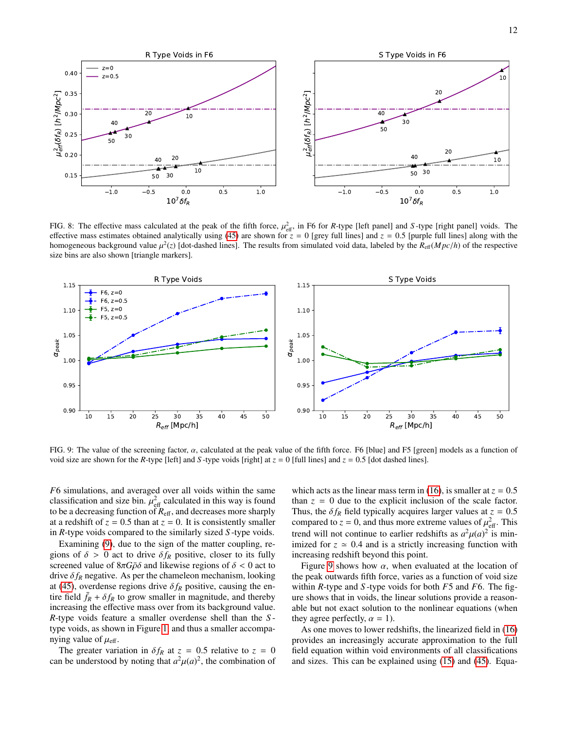

<span id="page-11-0"></span>FIG. 8: The effective mass calculated at the peak of the fifth force,  $\mu_{\text{eff}}^2$ , in F6 for *R*-type [left panel] and *S*-type [right panel] voids. The effective mass estimates obtained analytically using (45) are shown effective mass estimates obtained analytically using [\(45\)](#page-10-3) are shown for  $z = 0$  [grey full lines] and  $z = 0.5$  [purple full lines] along with the homogeneous background value  $\mu^2(z)$  [dot-dashed lines]. The results from simulated void data, labeled by the  $R_{\text{eff}}(Mpc/h)$  of the respective size bins are also shown Itriangle markers] size bins are also shown [triangle markers].



<span id="page-11-1"></span>FIG. 9: The value of the screening factor,  $\alpha$ , calculated at the peak value of the fifth force. F6 [blue] and F5 [green] models as a function of void size are shown for the *R*-type [left] and *S*-type voids [right] at  $z = 0$  [full lines] and  $z = 0.5$  [dot dashed lines].

*F*6 simulations, and averaged over all voids within the same classification and size bin.  $\mu_{\text{eff}}^2$  calculated in this way is found<br>to be a decreasing function of  $R_{\text{eff}}$  and decreases more sharply to be a decreasing function of  $R_{\text{eff}}$ , and decreases more sharply at a redshift of  $z = 0.5$  than at  $z = 0$ . It is consistently smaller in *R*-type voids compared to the similarly sized *S* -type voids.

Examining [\(9\)](#page-1-5), due to the sign of the matter coupling, regions of  $\delta > 0$  act to drive  $\delta f_R$  positive, closer to its fully screened value of  $8\pi G\bar{\rho}\delta$  and likewise regions of  $\delta < 0$  act to drive  $\delta f_R$  negative. As per the chameleon mechanism, looking at [\(45\)](#page-10-3), overdense regions drive  $\delta f_R$  positive, causing the entire field  $f_R + \delta f_R$  to grow smaller in magnitude, and thereby increasing the effective mass over from its background value. *R*-type voids feature a smaller overdense shell than the *S* type voids, as shown in Figure [1,](#page-4-0) and thus a smaller accompanying value of  $\mu_{\text{eff}}$ .

The greater variation in  $\delta f_R$  at  $z = 0.5$  relative to  $z = 0$ can be understood by noting that  $a^2\mu(a)^2$ , the combination of

which acts as the linear mass term in [\(16\)](#page-2-3), is smaller at  $z = 0.5$ than  $z = 0$  due to the explicit inclusion of the scale factor. Thus, the  $\delta f_R$  field typically acquires larger values at  $z = 0.5$ compared to  $z = 0$ , and thus more extreme values of  $\mu_{\text{eff}}^2$ . This trend will not continue to earlier redshifts as  $a^2\mu(a)^2$  is min-<br>imized for  $z \approx 0.4$  and is a strictly increasing function with imized for  $z \approx 0.4$  and is a strictly increasing function with increasing redshift beyond this point.

Figure [9](#page-11-1) shows how  $\alpha$ , when evaluated at the location of the peak outwards fifth force, varies as a function of void size within *R*-type and *S* -type voids for both *F*5 and *F*6. The figure shows that in voids, the linear solutions provide a reasonable but not exact solution to the nonlinear equations (when they agree perfectly,  $\alpha = 1$ ).

As one moves to lower redshifts, the linearized field in [\(16\)](#page-2-3) provides an increasingly accurate approximation to the full field equation within void environments of all classifications and sizes. This can be explained using [\(15\)](#page-2-6) and [\(45\)](#page-10-3). Equa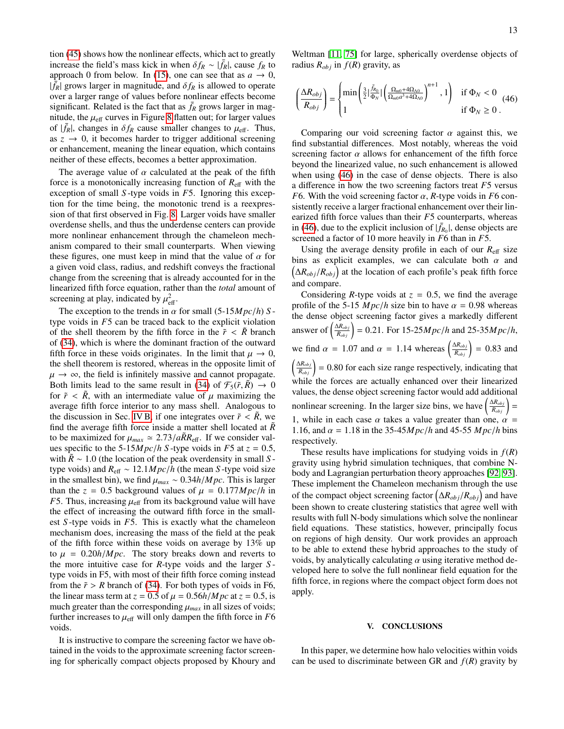tion [\(45\)](#page-10-3) shows how the nonlinear effects, which act to greatly increase the field's mass kick in when  $\delta f_R \sim |\bar{f}_R|$ , cause  $f_R$  to approach 0 from below. In [\(15\)](#page-2-6), one can see that as  $a \to 0$ ,  $|\tilde{f}_R|$  grows larger in magnitude, and  $\delta f_R$  is allowed to operate<br>over a larger range of values before nonlinear effects become over a larger range of values before nonlinear effects become significant. Related is the fact that as  $\bar{f}_R$  grows larger in magnitude, the  $\mu_{\text{eff}}$  curves in Figure [8](#page-11-0) flatten out; for larger values of  $|\bar{f}_R|$ , changes in  $\delta f_R$  cause smaller changes to  $\mu_{\text{eff}}$ . Thus,<br>as  $z \to 0$ , it becomes harder to trigger additional screening as  $z \rightarrow 0$ , it becomes harder to trigger additional screening or enhancement, meaning the linear equation, which contains neither of these effects, becomes a better approximation.

The average value of  $\alpha$  calculated at the peak of the fifth force is a monotonically increasing function of  $R_{\text{eff}}$  with the exception of small *S* -type voids in *F*5. Ignoring this exception for the time being, the monotonic trend is a reexpression of that first observed in Fig. [8.](#page-11-0) Larger voids have smaller overdense shells, and thus the underdense centers can provide more nonlinear enhancement through the chameleon mechanism compared to their small counterparts. When viewing these figures, one must keep in mind that the value of  $\alpha$  for a given void class, radius, and redshift conveys the fractional change from the screening that is already accounted for in the linearized fifth force equation, rather than the *total* amount of screening at play, indicated by  $\mu_{\text{eff}}^2$ .

The exception to the trends in  $\alpha$  for small (5-15*M pc/h*) *S* type voids in *F*5 can be traced back to the explicit violation of the shell theorem by the fifth force in the  $\tilde{r} < \tilde{R}$  branch of [\(34\)](#page-8-2), which is where the dominant fraction of the outward fifth force in these voids originates. In the limit that  $\mu \to 0$ , the shell theorem is restored, whereas in the opposite limit of  $\mu \rightarrow \infty$ , the field is infinitely massive and cannot propagate. Both limits lead to the same result in [\(34\)](#page-8-2) of  $\mathcal{F}_5(\tilde{r}, \tilde{R}) \rightarrow 0$ for  $\tilde{r} < \tilde{R}$ , with an intermediate value of  $\mu$  maximizing the average fifth force interior to any mass shell. Analogous to the discussion in Sec. [IV B,](#page-7-4) if one integrates over  $\tilde{r} < \tilde{R}$ , we find the average fifth force inside a matter shell located at  $\tilde{R}$ to be maximized for  $\mu_{max} \approx 2.73/a\tilde{R}R_{\text{eff}}$ . If we consider val-<br>ues specific to the 5-15*M nc/h S*-type voids in *F*5 at  $z = 0.5$ ues specific to the 5-15*M pc*/*h S*-type voids in *F*5 at  $z = 0.5$ , with  $\ddot{R} \sim 1.0$  (the location of the peak overdensity in small *S* type voids) and  $R_{\text{eff}} \sim 12.1 Mpc/h$  (the mean *S* -type void size in the smallest bin), we find  $\mu_{max} \sim 0.34h/Mpc$ . This is larger than the  $z = 0.5$  background values of  $\mu = 0.177 Mpc/h$  in *F*5. Thus, increasing  $\mu_{\text{eff}}$  from its background value will have the effect of increasing the outward fifth force in the smallest *S* -type voids in *F*5. This is exactly what the chameleon mechanism does, increasing the mass of the field at the peak of the fifth force within these voids on average by 13% up to  $\mu = 0.20h/Mpc$ . The story breaks down and reverts to the more intuitive case for *R*-type voids and the larger *S* type voids in F5, with most of their fifth force coming instead from the  $\tilde{r} > R$  branch of [\(34\)](#page-8-2). For both types of voids in F6, the linear mass term at  $z = 0.5$  of  $\mu = 0.56h/Mpc$  at  $z = 0.5$ , is much greater than the corresponding  $\mu_{max}$  in all sizes of voids; further increases to  $\mu_{\text{eff}}$  will only dampen the fifth force in  $F6$ voids.

It is instructive to compare the screening factor we have obtained in the voids to the approximate screening factor screening for spherically compact objects proposed by Khoury and

Weltman [\[11,](#page-14-5) [75\]](#page-15-16) for large, spherically overdense objects of radius  $R_{obj}$  in  $f(R)$  gravity, as

<span id="page-12-1"></span>
$$
\left(\frac{\Delta R_{obj}}{R_{obj}}\right) = \begin{cases} \min\left(\frac{3}{2}|\frac{\bar{f}_{R_0}}{\Phi_N}| \left(\frac{\Omega_{m0} + 4\Omega_{\Lambda 0}}{\Omega_{m0}a^3 + 4\Omega_{\Lambda 0}}\right)^{n+1}, 1\right) & \text{if } \Phi_N < 0\\ 1 & \text{if } \Phi_N \ge 0 \end{cases} \tag{46}
$$

Comparing our void screening factor  $\alpha$  against this, we find substantial differences. Most notably, whereas the void screening factor  $\alpha$  allows for enhancement of the fifth force beyond the linearized value, no such enhancement is allowed when using [\(46\)](#page-12-1) in the case of dense objects. There is also a difference in how the two screening factors treat *F*5 versus *F*6. With the void screening factor  $\alpha$ , *R*-type voids in *F*6 consistently receive a larger fractional enhancement over their linearized fifth force values than their *F*5 counterparts, whereas in [\(46\)](#page-12-1), due to the explicit inclusion of  $|\bar{f}_{R_0}|$ , dense objects are screened a factor of 10 more heavily in *F*6 than in *F*5.

Using the average density profile in each of our  $R_{\text{eff}}$  size bins as explicit examples, we can calculate both  $\alpha$  and  $(\Delta R_{obj}/R_{obj})$  at the location of each profile's peak fifth force and compare.

Considering *R*-type voids at  $z = 0.5$ , we find the average profile of the 5-15  $Mpc/h$  size bin to have  $\alpha = 0.98$  whereas the dense object screening factor gives a markedly different answer of  $\left(\frac{\Delta R_{obj}}{R_{obj}}\right) = 0.21$ . For 15-25*M pc*/*h* and 25-35*M pc*/*h*, we find  $\alpha = 1.07$  and  $\alpha = 1.14$  whereas  $\left(\frac{\Delta R_{obj}}{R_{obj}}\right) = 0.83$  and  $\left(\frac{\Delta R_{obj}}{R_{obj}}\right)$  = 0.80 for each size range respectively, indicating that while the forces are actually enhanced over their linearized values, the dense object screening factor would add additional nonlinear screening. In the larger size bins, we have  $\left(\frac{\Delta R_{obj}}{R_{obj}}\right)$  = 1, while in each case  $\alpha$  takes a value greater than one,  $\alpha =$ 1.16, and  $\alpha = 1.18$  in the 35-45*M pc/h* and 45-55 *M pc/h* bins respectively.

These results have implications for studying voids in  $f(R)$ gravity using hybrid simulation techniques, that combine Nbody and Lagrangian perturbation theory approaches [\[92,](#page-15-32) [93\]](#page-15-33). These implement the Chameleon mechanism through the use of the compact object screening factor  $(\Delta R_{obj}/R_{obj})$  and have been shown to create clustering statistics that agree well with results with full N-body simulations which solve the nonlinear field equations. These statistics, however, principally focus on regions of high density. Our work provides an approach to be able to extend these hybrid approaches to the study of voids, by analytically calculating  $\alpha$  using iterative method developed here to solve the full nonlinear field equation for the fifth force, in regions where the compact object form does not apply.

## <span id="page-12-0"></span>V. CONCLUSIONS

In this paper, we determine how halo velocities within voids can be used to discriminate between GR and  $f(R)$  gravity by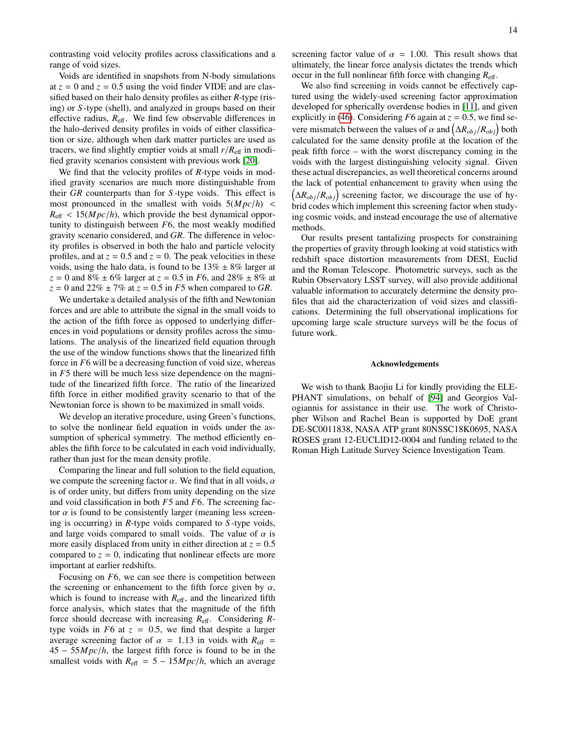contrasting void velocity profiles across classifications and a range of void sizes.

Voids are identified in snapshots from N-body simulations at  $z = 0$  and  $z = 0.5$  using the void finder VIDE and are classified based on their halo density profiles as either *R*-type (rising) or *S* -type (shell), and analyzed in groups based on their effective radius,  $R_{\text{eff}}$ . We find few observable differences in the halo-derived density profiles in voids of either classification or size, although when dark matter particles are used as tracers, we find slightly emptier voids at small  $r/R<sub>eff</sub>$  in modified gravity scenarios consistent with previous work [\[20\]](#page-14-33).

We find that the velocity profiles of *R*-type voids in modified gravity scenarios are much more distinguishable from their *GR* counterparts than for *S* -type voids. This effect is most pronounced in the smallest with voids  $5(Mpc/h)$  <  $R_{\text{eff}} < 15(Mpc/h)$ , which provide the best dynamical opportunity to distinguish between *F*6, the most weakly modified gravity scenario considered, and *GR*. The difference in velocity profiles is observed in both the halo and particle velocity profiles, and at  $z = 0.5$  and  $z = 0$ . The peak velocities in these voids, using the halo data, is found to be  $13\% \pm 8\%$  larger at *<sup>z</sup>* <sup>=</sup> 0 and 8% <sup>±</sup> 6% larger at *<sup>z</sup>* <sup>=</sup> <sup>0</sup>.5 in *<sup>F</sup>*6, and 28% <sup>±</sup> 8% at  $z = 0$  and 22%  $\pm$  7% at  $z = 0.5$  in *F*5 when compared to *GR*.

We undertake a detailed analysis of the fifth and Newtonian forces and are able to attribute the signal in the small voids to the action of the fifth force as opposed to underlying differences in void populations or density profiles across the simulations. The analysis of the linearized field equation through the use of the window functions shows that the linearized fifth force in *F*6 will be a decreasing function of void size, whereas in *F*5 there will be much less size dependence on the magnitude of the linearized fifth force. The ratio of the linearized fifth force in either modified gravity scenario to that of the Newtonian force is shown to be maximized in small voids.

We develop an iterative procedure, using Green's functions, to solve the nonlinear field equation in voids under the assumption of spherical symmetry. The method efficiently enables the fifth force to be calculated in each void individually, rather than just for the mean density profile.

Comparing the linear and full solution to the field equation, we compute the screening factor  $\alpha$ . We find that in all voids,  $\alpha$ is of order unity, but differs from unity depending on the size and void classification in both *F*5 and *F*6. The screening factor  $\alpha$  is found to be consistently larger (meaning less screening is occurring) in *R*-type voids compared to *S* -type voids, and large voids compared to small voids. The value of  $\alpha$  is more easily displaced from unity in either direction at  $z = 0.5$ compared to  $z = 0$ , indicating that nonlinear effects are more important at earlier redshifts.

Focusing on *F*6, we can see there is competition between the screening or enhancement to the fifth force given by  $\alpha$ , which is found to increase with  $R_{\text{eff}}$ , and the linearized fifth force analysis, which states that the magnitude of the fifth force should decrease with increasing *R*eff. Considering *R*type voids in  $F6$  at  $z = 0.5$ , we find that despite a larger average screening factor of  $\alpha = 1.13$  in voids with  $R_{\text{eff}}$  = <sup>45</sup> <sup>−</sup> <sup>55</sup>*M pc*/*h*, the largest fifth force is found to be in the smallest voids with  $R_{\text{eff}} = 5 - 15 Mpc/h$ , which an average

screening factor value of  $\alpha = 1.00$ . This result shows that ultimately, the linear force analysis dictates the trends which occur in the full nonlinear fifth force with changing  $R_{\text{eff}}$ .

We also find screening in voids cannot be effectively captured using the widely-used screening factor approximation developed for spherically overdense bodies in [\[11\]](#page-14-5), and given explicitly in [\(46\)](#page-12-1). Considering  $F6$  again at  $z = 0.5$ , we find severe mismatch between the values of  $\alpha$  and  $(\Delta R_{obj}/R_{obj})$  both calculated for the same density profile at the location of the calculated for the same density profile at the location of the peak fifth force – with the worst discrepancy coming in the voids with the largest distinguishing velocity signal. Given these actual discrepancies, as well theoretical concerns around the lack of potential enhancement to gravity when using the  $(\Delta R_{obj}/R_{obj})$  screening factor, we discourage the use of hybrid codes which implement this screening factor when studying cosmic voids, and instead encourage the use of alternative methods.

Our results present tantalizing prospects for constraining the properties of gravity through looking at void statistics with redshift space distortion measurements from DESI, Euclid and the Roman Telescope. Photometric surveys, such as the Rubin Observatory LSST survey, will also provide additional valuable information to accurately determine the density profiles that aid the characterization of void sizes and classifications. Determining the full observational implications for upcoming large scale structure surveys will be the focus of future work.

### Acknowledgements

We wish to thank Baojiu Li for kindly providing the ELE-PHANT simulations, on behalf of [\[94\]](#page-15-34) and Georgios Valogiannis for assistance in their use. The work of Christopher Wilson and Rachel Bean is supported by DoE grant DE-SC0011838, NASA ATP grant 80NSSC18K0695, NASA ROSES grant 12-EUCLID12-0004 and funding related to the Roman High Latitude Survey Science Investigation Team.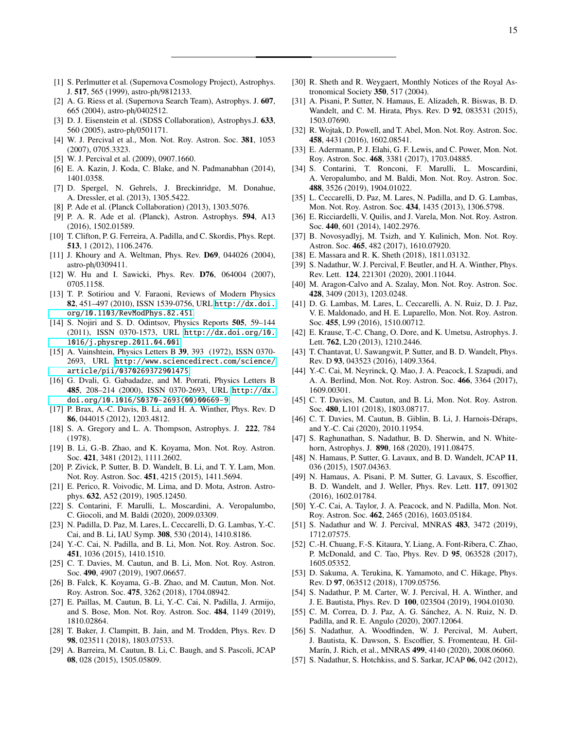- <span id="page-14-0"></span>[1] S. Perlmutter et al. (Supernova Cosmology Project), Astrophys. J. 517, 565 (1999), astro-ph/9812133.
- <span id="page-14-1"></span>[2] A. G. Riess et al. (Supernova Search Team), Astrophys. J. 607, 665 (2004), astro-ph/0402512.
- <span id="page-14-2"></span>[3] D. J. Eisenstein et al. (SDSS Collaboration), Astrophys.J. 633, 560 (2005), astro-ph/0501171.
- [4] W. J. Percival et al., Mon. Not. Roy. Astron. Soc. 381, 1053 (2007), 0705.3323.
- [5] W. J. Percival et al. (2009), 0907.1660.
- [6] E. A. Kazin, J. Koda, C. Blake, and N. Padmanabhan (2014), 1401.0358.
- [7] D. Spergel, N. Gehrels, J. Breckinridge, M. Donahue, A. Dressler, et al. (2013), 1305.5422.
- [8] P. Ade et al. (Planck Collaboration) (2013), 1303.5076.
- <span id="page-14-3"></span>[9] P. A. R. Ade et al. (Planck), Astron. Astrophys. 594, A13 (2016), 1502.01589.
- <span id="page-14-4"></span>[10] T. Clifton, P. G. Ferreira, A. Padilla, and C. Skordis, Phys. Rept. 513, 1 (2012), 1106.2476.
- <span id="page-14-5"></span>[11] J. Khoury and A. Weltman, Phys. Rev. **D69**, 044026 (2004), astro-ph/0309411.
- <span id="page-14-6"></span>[12] W. Hu and I. Sawicki, Phys. Rev. D76, 064004 (2007), 0705.1158.
- <span id="page-14-7"></span>[13] T. P. Sotiriou and V. Faraoni, Reviews of Modern Physics 82, 451–497 (2010), ISSN 1539-0756, URL [http://dx.doi.](http://dx.doi.org/10.1103/RevModPhys.82.451) [org/10.1103/RevModPhys.82.451](http://dx.doi.org/10.1103/RevModPhys.82.451).
- <span id="page-14-8"></span>[14] S. Nojiri and S. D. Odintsov, Physics Reports 505, 59-144 (2011), ISSN 0370-1573, URL [http://dx.doi.org/10.](http://dx.doi.org/10.1016/j.physrep.2011.04.001) [1016/j.physrep.2011.04.001](http://dx.doi.org/10.1016/j.physrep.2011.04.001).
- <span id="page-14-9"></span>[15] A. Vainshtein, Physics Letters B 39, 393 (1972), ISSN 0370-2693, URL [http://www.sciencedirect.com/science/](http://www.sciencedirect.com/science/article/pii/0370269372901475) [article/pii/0370269372901475](http://www.sciencedirect.com/science/article/pii/0370269372901475).
- <span id="page-14-10"></span>[16] G. Dvali, G. Gabadadze, and M. Porrati, Physics Letters B 485, 208–214 (2000), ISSN 0370-2693, URL [http://dx.](http://dx.doi.org/10.1016/S0370-2693(00)00669-9) [doi.org/10.1016/S0370-2693\(00\)00669-9](http://dx.doi.org/10.1016/S0370-2693(00)00669-9).
- <span id="page-14-11"></span>[17] P. Brax, A.-C. Davis, B. Li, and H. A. Winther, Phys. Rev. D 86, 044015 (2012), 1203.4812.
- <span id="page-14-12"></span>[18] S. A. Gregory and L. A. Thompson, Astrophys. J. 222, 784 (1978).
- <span id="page-14-13"></span>[19] B. Li, G.-B. Zhao, and K. Koyama, Mon. Not. Roy. Astron. Soc. 421, 3481 (2012), 1111.2602.
- <span id="page-14-33"></span>[20] P. Zivick, P. Sutter, B. D. Wandelt, B. Li, and T. Y. Lam, Mon. Not. Roy. Astron. Soc. 451, 4215 (2015), 1411.5694.
- [21] E. Perico, R. Voivodic, M. Lima, and D. Mota, Astron. Astrophys. 632, A52 (2019), 1905.12450.
- [22] S. Contarini, F. Marulli, L. Moscardini, A. Veropalumbo, C. Giocoli, and M. Baldi (2020), 2009.03309.
- <span id="page-14-30"></span>[23] N. Padilla, D. Paz, M. Lares, L. Ceccarelli, D. G. Lambas, Y.-C. Cai, and B. Li, IAU Symp. 308, 530 (2014), 1410.8186.
- <span id="page-14-31"></span>[24] Y.-C. Cai, N. Padilla, and B. Li, Mon. Not. Roy. Astron. Soc. 451, 1036 (2015), 1410.1510.
- <span id="page-14-14"></span>[25] C. T. Davies, M. Cautun, and B. Li, Mon. Not. Roy. Astron. Soc. 490, 4907 (2019), 1907.06657.
- <span id="page-14-15"></span>[26] B. Falck, K. Koyama, G.-B. Zhao, and M. Cautun, Mon. Not. Roy. Astron. Soc. 475, 3262 (2018), 1704.08942.
- <span id="page-14-16"></span>[27] E. Paillas, M. Cautun, B. Li, Y.-C. Cai, N. Padilla, J. Armijo, and S. Bose, Mon. Not. Roy. Astron. Soc. 484, 1149 (2019), 1810.02864.
- <span id="page-14-17"></span>[28] T. Baker, J. Clampitt, B. Jain, and M. Trodden, Phys. Rev. D 98, 023511 (2018), 1803.07533.
- <span id="page-14-18"></span>[29] A. Barreira, M. Cautun, B. Li, C. Baugh, and S. Pascoli, JCAP 08, 028 (2015), 1505.05809.
- <span id="page-14-19"></span>[30] R. Sheth and R. Weygaert, Monthly Notices of the Royal Astronomical Society 350, 517 (2004).
- [31] A. Pisani, P. Sutter, N. Hamaus, E. Alizadeh, R. Biswas, B. D. Wandelt, and C. M. Hirata, Phys. Rev. D 92, 083531 (2015), 1503.07690.
- [32] R. Wojtak, D. Powell, and T. Abel, Mon. Not. Roy. Astron. Soc. 458, 4431 (2016), 1602.08541.
- [33] E. Adermann, P. J. Elahi, G. F. Lewis, and C. Power, Mon. Not. Roy. Astron. Soc. 468, 3381 (2017), 1703.04885.
- <span id="page-14-20"></span>[34] S. Contarini, T. Ronconi, F. Marulli, L. Moscardini, A. Veropalumbo, and M. Baldi, Mon. Not. Roy. Astron. Soc. 488, 3526 (2019), 1904.01022.
- <span id="page-14-21"></span>[35] L. Ceccarelli, D. Paz, M. Lares, N. Padilla, and D. G. Lambas, Mon. Not. Roy. Astron. Soc. 434, 1435 (2013), 1306.5798.
- <span id="page-14-32"></span>[36] E. Ricciardelli, V. Quilis, and J. Varela, Mon. Not. Roy. Astron. Soc. 440, 601 (2014), 1402.2976.
- [37] B. Novosyadlyj, M. Tsizh, and Y. Kulinich, Mon. Not. Roy. Astron. Soc. 465, 482 (2017), 1610.07920.
- [38] E. Massara and R. K. Sheth (2018), 1811.03132.
- <span id="page-14-22"></span>[39] S. Nadathur, W. J. Percival, F. Beutler, and H. A. Winther, Phys. Rev. Lett. 124, 221301 (2020), 2001.11044.
- <span id="page-14-23"></span>[40] M. Aragon-Calvo and A. Szalay, Mon. Not. Roy. Astron. Soc. 428, 3409 (2013), 1203.0248.
- <span id="page-14-24"></span>[41] D. G. Lambas, M. Lares, L. Ceccarelli, A. N. Ruiz, D. J. Paz, V. E. Maldonado, and H. E. Luparello, Mon. Not. Roy. Astron. Soc. 455, L99 (2016), 1510.00712.
- <span id="page-14-25"></span>[42] E. Krause, T.-C. Chang, O. Dore, and K. Umetsu, Astrophys. J. Lett. 762, L20 (2013), 1210.2446.
- [43] T. Chantavat, U. Sawangwit, P. Sutter, and B. D. Wandelt, Phys. Rev. D 93, 043523 (2016), 1409.3364.
- [44] Y.-C. Cai, M. Neyrinck, Q. Mao, J. A. Peacock, I. Szapudi, and A. A. Berlind, Mon. Not. Roy. Astron. Soc. 466, 3364 (2017), 1609.00301.
- [45] C. T. Davies, M. Cautun, and B. Li, Mon. Not. Roy. Astron. Soc. 480, L101 (2018), 1803.08717.
- [46] C. T. Davies, M. Cautun, B. Giblin, B. Li, J. Harnois-Déraps, and Y.-C. Cai (2020), 2010.11954.
- <span id="page-14-26"></span>[47] S. Raghunathan, S. Nadathur, B. D. Sherwin, and N. Whitehorn, Astrophys. J. 890, 168 (2020), 1911.08475.
- <span id="page-14-27"></span>[48] N. Hamaus, P. Sutter, G. Lavaux, and B. D. Wandelt, JCAP 11, 036 (2015), 1507.04363.
- [49] N. Hamaus, A. Pisani, P. M. Sutter, G. Lavaux, S. Escoffier, B. D. Wandelt, and J. Weller, Phys. Rev. Lett. 117, 091302 (2016), 1602.01784.
- [50] Y.-C. Cai, A. Taylor, J. A. Peacock, and N. Padilla, Mon. Not. Roy. Astron. Soc. 462, 2465 (2016), 1603.05184.
- [51] S. Nadathur and W. J. Percival, MNRAS 483, 3472 (2019), 1712.07575.
- [52] C.-H. Chuang, F.-S. Kitaura, Y. Liang, A. Font-Ribera, C. Zhao, P. McDonald, and C. Tao, Phys. Rev. D 95, 063528 (2017), 1605.05352.
- [53] D. Sakuma, A. Terukina, K. Yamamoto, and C. Hikage, Phys. Rev. D 97, 063512 (2018), 1709.05756.
- [54] S. Nadathur, P. M. Carter, W. J. Percival, H. A. Winther, and J. E. Bautista, Phys. Rev. D 100, 023504 (2019), 1904.01030.
- [55] C. M. Correa, D. J. Paz, A. G. Sánchez, A. N. Ruiz, N. D. Padilla, and R. E. Angulo (2020), 2007.12064.
- <span id="page-14-28"></span>[56] S. Nadathur, A. Woodfinden, W. J. Percival, M. Aubert, J. Bautista, K. Dawson, S. Escoffier, S. Fromenteau, H. Gil-Marín, J. Rich, et al., MNRAS 499, 4140 (2020), 2008.06060.
- <span id="page-14-29"></span>[57] S. Nadathur, S. Hotchkiss, and S. Sarkar, JCAP 06, 042 (2012),